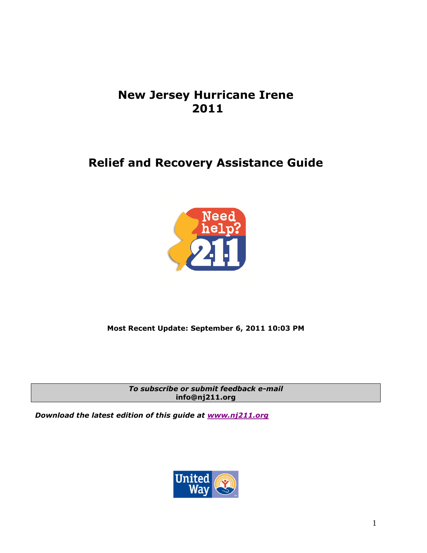# **New Jersey Hurricane Irene 2011**

# **Relief and Recovery Assistance Guide**



# **Most Recent Update: September 6, 2011 10:03 PM**

*To subscribe or submit feedback e-mail*  **info@nj211.org** 

*Download the latest edition of this guide at [www.nj211.org](http://www.nj211.org/)*

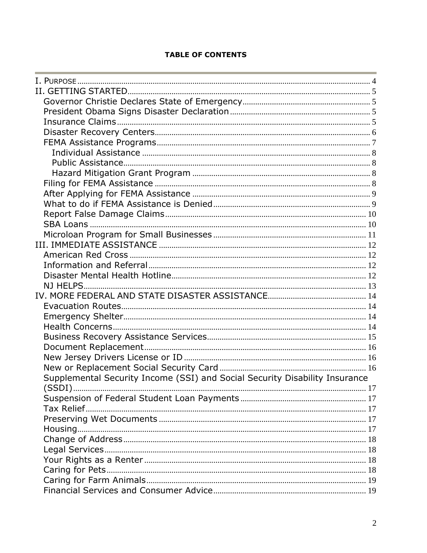## **TABLE OF CONTENTS**

| Supplemental Security Income (SSI) and Social Security Disability Insurance |  |
|-----------------------------------------------------------------------------|--|
|                                                                             |  |
|                                                                             |  |
|                                                                             |  |
|                                                                             |  |
|                                                                             |  |
|                                                                             |  |
|                                                                             |  |
|                                                                             |  |
|                                                                             |  |
|                                                                             |  |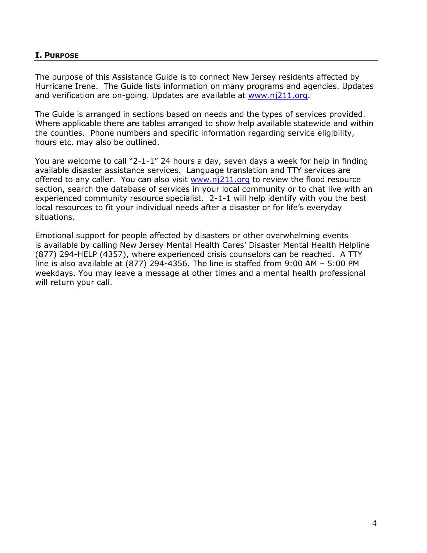#### <span id="page-3-0"></span>**I. PURPOSE**

The purpose of this Assistance Guide is to connect New Jersey residents affected by Hurricane Irene. The Guide lists information on many programs and agencies. Updates and verification are on-going. Updates are available at [www.nj211.org.](http://www.nj211.org/)

The Guide is arranged in sections based on needs and the types of services provided. Where applicable there are tables arranged to show help available statewide and within the counties. Phone numbers and specific information regarding service eligibility, hours etc. may also be outlined.

You are welcome to call "2-1-1" 24 hours a day, seven days a week for help in finding available disaster assistance services. Language translation and TTY services are offered to any caller. You can also visit  $www.nj211.org$  to review the flood resource section, search the database of services in your local community or to chat live with an experienced community resource specialist. 2-1-1 will help identify with you the best local resources to fit your individual needs after a disaster or for life's everyday situations.

Emotional support for people affected by disasters or other overwhelming events is available by calling New Jersey Mental Health Cares' Disaster Mental Health Helpline (877) 294-HELP (4357), where experienced crisis counselors can be reached. A TTY line is also available at (877) 294-4356. The line is staffed from 9:00 AM – 5:00 PM weekdays. You may leave a message at other times and a mental health professional will return your call.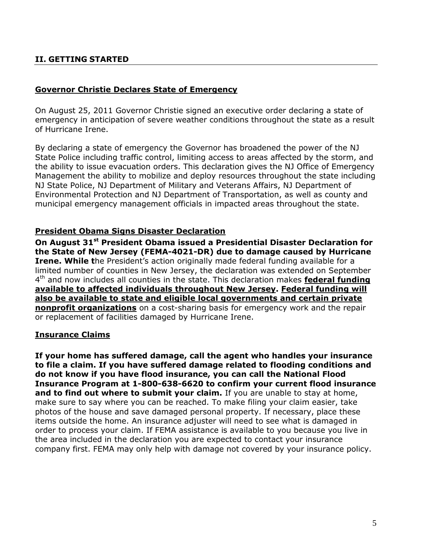# <span id="page-4-0"></span>**II. GETTING STARTED**

#### <span id="page-4-1"></span>**Governor Christie Declares State of Emergency**

On August 25, 2011 Governor Christie signed an executive order declaring a state of emergency in anticipation of severe weather conditions throughout the state as a result of Hurricane Irene.

By declaring a state of emergency the Governor has broadened the power of the NJ State Police including traffic control, limiting access to areas affected by the storm, and the ability to issue evacuation orders. This declaration gives the NJ Office of Emergency Management the ability to mobilize and deploy resources throughout the state including NJ State Police, NJ Department of Military and Veterans Affairs, NJ Department of Environmental Protection and NJ Department of Transportation, as well as county and municipal emergency management officials in impacted areas throughout the state.

#### <span id="page-4-2"></span>**President Obama Signs Disaster Declaration**

**On August 31st President Obama issued a Presidential Disaster Declaration for the State of New Jersey (FEMA-4021-DR) due to damage caused by Hurricane Irene. While the President's action originally made federal funding available for a** limited number of counties in New Jersey, the declaration was extended on September 4 th and now includes all counties in the state. This declaration makes **federal funding available to affected individuals throughout New Jersey. Federal funding will also be available to state and eligible local governments and certain private nonprofit organizations** on a cost-sharing basis for emergency work and the repair or replacement of facilities damaged by Hurricane Irene.

#### <span id="page-4-3"></span>**Insurance Claims**

**If your home has suffered damage, call the agent who handles your insurance to file a claim. If you have suffered damage related to flooding conditions and do not know if you have flood insurance, you can call the National Flood Insurance Program at 1-800-638-6620 to confirm your current flood insurance**  and to find out where to submit your claim. If you are unable to stay at home, make sure to say where you can be reached. To make filing your claim easier, take photos of the house and save damaged personal property. If necessary, place these items outside the home. An insurance adjuster will need to see what is damaged in order to process your claim. If FEMA assistance is available to you because you live in the area included in the declaration you are expected to contact your insurance company first. FEMA may only help with damage not covered by your insurance policy.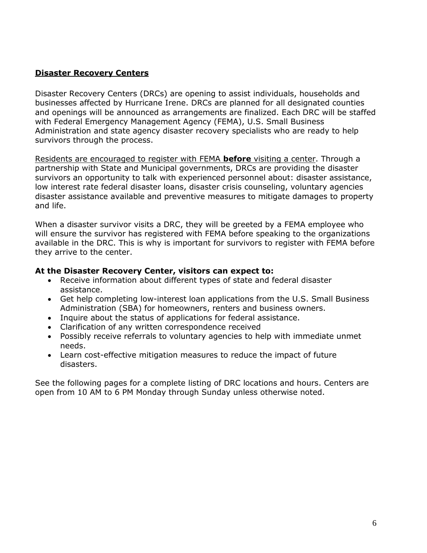## <span id="page-5-0"></span>**Disaster Recovery Centers**

Disaster Recovery Centers (DRCs) are opening to assist individuals, households and businesses affected by Hurricane Irene. DRCs are planned for all designated counties and openings will be announced as arrangements are finalized. Each DRC will be staffed with Federal Emergency Management Agency (FEMA), U.S. Small Business Administration and state agency disaster recovery specialists who are ready to help survivors through the process.

Residents are encouraged to register with FEMA **before** visiting a center. Through a partnership with State and Municipal governments, DRCs are providing the disaster survivors an opportunity to talk with experienced personnel about: disaster assistance, low interest rate federal disaster loans, disaster crisis counseling, voluntary agencies disaster assistance available and preventive measures to mitigate damages to property and life.

When a disaster survivor visits a DRC, they will be greeted by a FEMA employee who will ensure the survivor has registered with FEMA before speaking to the organizations available in the DRC. This is why is important for survivors to register with FEMA before they arrive to the center.

## **At the Disaster Recovery Center, visitors can expect to:**

- Receive information about different types of state and federal disaster assistance.
- Get help completing low-interest loan applications from the U.S. Small Business Administration (SBA) for homeowners, renters and business owners.
- Inquire about the status of applications for federal assistance.
- Clarification of any written correspondence received
- Possibly receive referrals to voluntary agencies to help with immediate unmet needs.
- Learn cost-effective mitigation measures to reduce the impact of future disasters.

See the following pages for a complete listing of DRC locations and hours. Centers are open from 10 AM to 6 PM Monday through Sunday unless otherwise noted.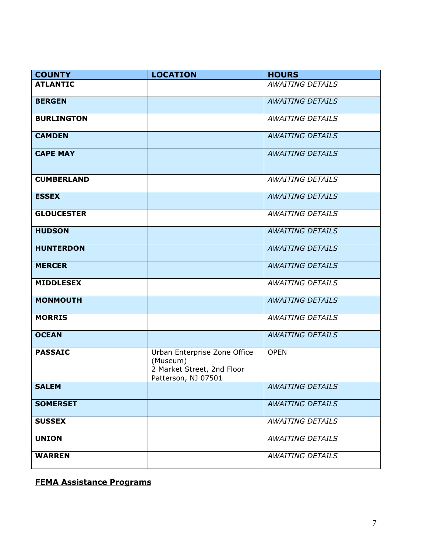| <b>COUNTY</b>     | <b>LOCATION</b>                                                                               | <b>HOURS</b>            |
|-------------------|-----------------------------------------------------------------------------------------------|-------------------------|
| <b>ATLANTIC</b>   |                                                                                               | <b>AWAITING DETAILS</b> |
| <b>BERGEN</b>     |                                                                                               | <b>AWAITING DETAILS</b> |
| <b>BURLINGTON</b> |                                                                                               | <b>AWAITING DETAILS</b> |
| <b>CAMDEN</b>     |                                                                                               | <b>AWAITING DETAILS</b> |
| <b>CAPE MAY</b>   |                                                                                               | <b>AWAITING DETAILS</b> |
| <b>CUMBERLAND</b> |                                                                                               | <b>AWAITING DETAILS</b> |
| <b>ESSEX</b>      |                                                                                               | <b>AWAITING DETAILS</b> |
| <b>GLOUCESTER</b> |                                                                                               | <b>AWAITING DETAILS</b> |
| <b>HUDSON</b>     |                                                                                               | <b>AWAITING DETAILS</b> |
| <b>HUNTERDON</b>  |                                                                                               | <b>AWAITING DETAILS</b> |
| <b>MERCER</b>     |                                                                                               | <b>AWAITING DETAILS</b> |
| <b>MIDDLESEX</b>  |                                                                                               | <b>AWAITING DETAILS</b> |
| <b>MONMOUTH</b>   |                                                                                               | <b>AWAITING DETAILS</b> |
| <b>MORRIS</b>     |                                                                                               | <b>AWAITING DETAILS</b> |
| <b>OCEAN</b>      |                                                                                               | <b>AWAITING DETAILS</b> |
| <b>PASSAIC</b>    | Urban Enterprise Zone Office<br>(Museum)<br>2 Market Street, 2nd Floor<br>Patterson, NJ 07501 | <b>OPEN</b>             |
| <b>SALEM</b>      |                                                                                               | <b>AWAITING DETAILS</b> |
| <b>SOMERSET</b>   |                                                                                               | <b>AWAITING DETAILS</b> |
| <b>SUSSEX</b>     |                                                                                               | <b>AWAITING DETAILS</b> |
| <b>UNION</b>      |                                                                                               | <b>AWAITING DETAILS</b> |
| <b>WARREN</b>     |                                                                                               | <b>AWAITING DETAILS</b> |

<span id="page-6-0"></span>**FEMA Assistance Programs**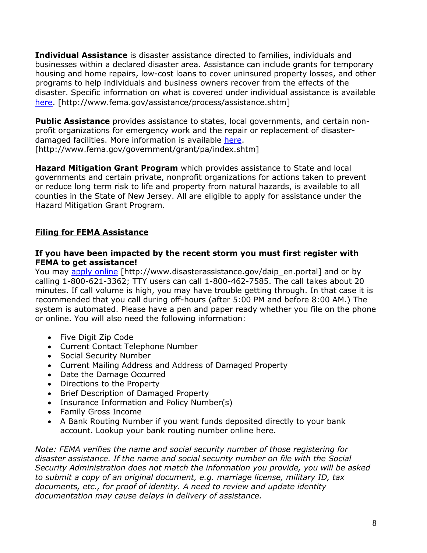<span id="page-7-0"></span>**Individual Assistance** is disaster assistance directed to families, individuals and businesses within a declared disaster area. Assistance can include grants for temporary housing and home repairs, low-cost loans to cover uninsured property losses, and other programs to help individuals and business owners recover from the effects of the disaster. Specific information on what is covered under individual assistance is available [here.](http://www.fema.gov/assistance/process/assistance.shtm) [http://www.fema.gov/assistance/process/assistance.shtm]

<span id="page-7-1"></span>**Public Assistance** provides assistance to states, local governments, and certain nonprofit organizations for emergency work and the repair or replacement of disasterdamaged facilities. More information is available [here.](http://www.fema.gov/government/grant/pa/index.shtm) [http://www.fema.gov/government/grant/pa/index.shtm]

<span id="page-7-2"></span>**Hazard Mitigation Grant Program** which provides assistance to State and local governments and certain private, nonprofit organizations for actions taken to prevent or reduce long term risk to life and property from natural hazards, is available to all counties in the State of New Jersey. All are eligible to apply for assistance under the Hazard Mitigation Grant Program.

# <span id="page-7-3"></span>**Filing for FEMA Assistance**

#### **If you have been impacted by the recent storm you must first register with FEMA to get assistance!**

You may [apply online](http://www.disasterassistance.gov/daip_en.portal) [http://www.disasterassistance.gov/daip\_en.portal] and or by calling 1-800-621-3362; TTY users can call 1-800-462-7585. The call takes about 20 minutes. If call volume is high, you may have trouble getting through. In that case it is recommended that you call during off-hours (after 5:00 PM and before 8:00 AM.) The system is automated. Please have a pen and paper ready whether you file on the phone or online. You will also need the following information:

- Five Digit Zip Code
- Current Contact Telephone Number
- Social Security Number
- Current Mailing Address and Address of Damaged Property
- Date the Damage Occurred
- Directions to the Property
- Brief Description of Damaged Property
- Insurance Information and Policy Number(s)
- Family Gross Income
- A Bank Routing Number if you want funds deposited directly to your bank account. Lookup your bank routing number online here.

*Note: FEMA verifies the name and social security number of those registering for disaster assistance. If the name and social security number on file with the Social Security Administration does not match the information you provide, you will be asked to submit a copy of an original document, e.g. marriage license, military ID, tax documents, etc., for proof of identity. A need to review and update identity documentation may cause delays in delivery of assistance.*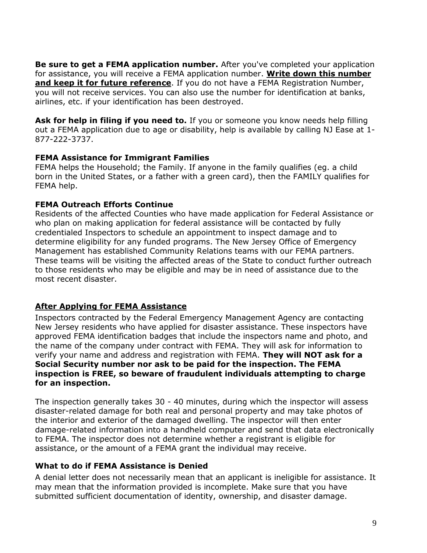**Be sure to get a FEMA application number.** After you've completed your application for assistance, you will receive a FEMA application number. **Write down this number and keep it for future reference**. If you do not have a FEMA Registration Number, you will not receive services. You can also use the number for identification at banks, airlines, etc. if your identification has been destroyed.

**Ask for help in filing if you need to.** If you or someone you know needs help filling out a FEMA application due to age or disability, help is available by calling NJ Ease at 1- 877-222-3737.

#### **FEMA Assistance for Immigrant Families**

FEMA helps the Household; the Family. If anyone in the family qualifies (eg. a child born in the United States, or a father with a green card), then the FAMILY qualifies for FEMA help.

## **FEMA Outreach Efforts Continue**

Residents of the affected Counties who have made application for Federal Assistance or who plan on making application for federal assistance will be contacted by fully credentialed Inspectors to schedule an appointment to inspect damage and to determine eligibility for any funded programs. The New Jersey Office of Emergency Management has established Community Relations teams with our FEMA partners. These teams will be visiting the affected areas of the State to conduct further outreach to those residents who may be eligible and may be in need of assistance due to the most recent disaster.

# <span id="page-8-0"></span>**After Applying for FEMA Assistance**

Inspectors contracted by the Federal Emergency Management Agency are contacting New Jersey residents who have applied for disaster assistance. These inspectors have approved FEMA identification badges that include the inspectors name and photo, and the name of the company under contract with FEMA. They will ask for information to verify your name and address and registration with FEMA. **They will NOT ask for a Social Security number nor ask to be paid for the inspection. The FEMA inspection is FREE, so beware of fraudulent individuals attempting to charge for an inspection.**

The inspection generally takes 30 - 40 minutes, during which the inspector will assess disaster-related damage for both real and personal property and may take photos of the interior and exterior of the damaged dwelling. The inspector will then enter damage-related information into a handheld computer and send that data electronically to FEMA. The inspector does not determine whether a registrant is eligible for assistance, or the amount of a FEMA grant the individual may receive.

## <span id="page-8-1"></span>**What to do if FEMA Assistance is Denied**

A denial letter does not necessarily mean that an applicant is ineligible for assistance. It may mean that the information provided is incomplete. Make sure that you have submitted sufficient documentation of identity, ownership, and disaster damage.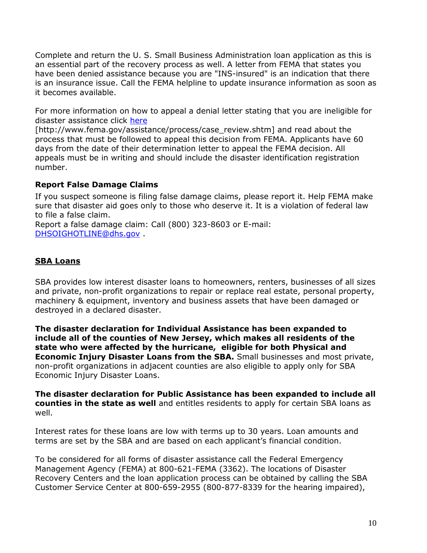Complete and return the U. S. Small Business Administration loan application as this is an essential part of the recovery process as well. A letter from FEMA that states you have been denied assistance because you are "INS-insured" is an indication that there is an insurance issue. Call the FEMA helpline to update insurance information as soon as it becomes available.

For more information on how to appeal a denial letter stating that you are ineligible for disaster assistance click [here](http://www.fema.gov/assistance/process/case_review.shtm)

[http://www.fema.gov/assistance/process/case\_review.shtm] and read about the process that must be followed to appeal this decision from FEMA. Applicants have 60 days from the date of their determination letter to appeal the FEMA decision. All appeals must be in writing and should include the disaster identification registration number.

# <span id="page-9-0"></span>**Report False Damage Claims**

If you suspect someone is filing false damage claims, please report it. Help FEMA make sure that disaster aid goes only to those who deserve it. It is a violation of federal law to file a false claim.

Report a false damage claim: Call (800) 323-8603 or E-mail: [DHSOIGHOTLINE@dhs.gov](mailto:DHSOIGHOTLINE@dhs.gov) .

# <span id="page-9-1"></span>**SBA Loans**

SBA provides low interest disaster loans to homeowners, renters, businesses of all sizes and private, non-profit organizations to repair or replace real estate, personal property, machinery & equipment, inventory and business assets that have been damaged or destroyed in a declared disaster.

**The disaster declaration for Individual Assistance has been expanded to include all of the counties of New Jersey, which makes all residents of the state who were affected by the hurricane, eligible for both Physical and Economic Injury Disaster Loans from the SBA.** Small businesses and most private, non-profit organizations in adjacent counties are also eligible to apply only for SBA Economic Injury Disaster Loans.

**The disaster declaration for Public Assistance has been expanded to include all counties in the state as well** and entitles residents to apply for certain SBA loans as well.

Interest rates for these loans are low with terms up to 30 years. Loan amounts and terms are set by the SBA and are based on each applicant's financial condition.

To be considered for all forms of disaster assistance call the Federal Emergency Management Agency (FEMA) at 800-621-FEMA (3362). The locations of Disaster Recovery Centers and the loan application process can be obtained by calling the SBA Customer Service Center at 800-659-2955 (800-877-8339 for the hearing impaired),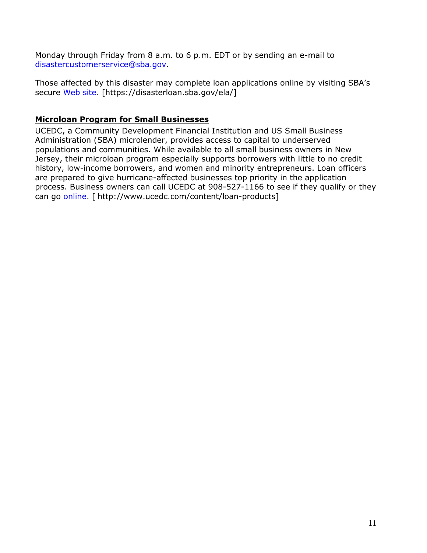Monday through Friday from 8 a.m. to 6 p.m. EDT or by sending an e-mail to [disastercustomerservice@sba.gov.](mailto:disastercustomerservice@sba.gov)

Those affected by this disaster may complete loan applications online by visiting SBA's secure [Web site.](https://disasterloan.sba.gov/ela/) [https://disasterloan.sba.gov/ela/]

# <span id="page-10-0"></span>**Microloan Program for Small Businesses**

UCEDC, a Community Development Financial Institution and US Small Business Administration (SBA) microlender, provides access to capital to underserved populations and communities. While available to all small business owners in New Jersey, their microloan program especially supports borrowers with little to no credit history, low-income borrowers, and women and minority entrepreneurs. Loan officers are prepared to give hurricane-affected businesses top priority in the application process. Business owners can call UCEDC at 908-527-1166 to see if they qualify or they can go [online.](http://www.ucedc.com/content/loan-products) [ http://www.ucedc.com/content/loan-products]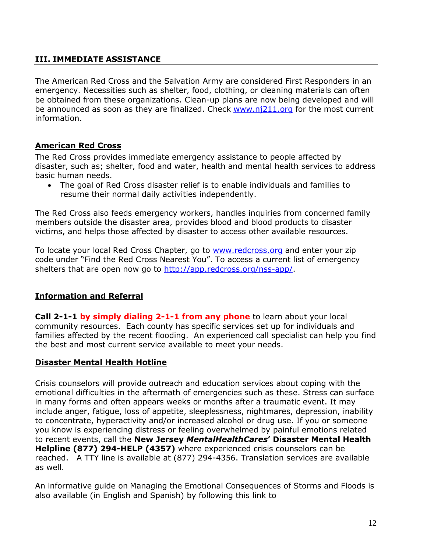# <span id="page-11-0"></span>**III. IMMEDIATE ASSISTANCE**

The American Red Cross and the Salvation Army are considered First Responders in an emergency. Necessities such as shelter, food, clothing, or cleaning materials can often be obtained from these organizations. Clean-up plans are now being developed and will be announced as soon as they are finalized. Check [www.nj211.org](http://www.nj211.org/) for the most current information.

# <span id="page-11-1"></span>**American Red Cross**

The Red Cross provides immediate emergency assistance to people affected by disaster, such as; shelter, food and water, health and mental health services to address basic human needs.

 The goal of Red Cross disaster relief is to enable individuals and families to resume their normal daily activities independently.

The Red Cross also feeds emergency workers, handles inquiries from concerned family members outside the disaster area, provides blood and blood products to disaster victims, and helps those affected by disaster to access other available resources.

To locate your local Red Cross Chapter, go to [www.redcross.org](http://www.redcross.org/) and enter your zip code under "Find the Red Cross Nearest You". To access a current list of emergency shelters that are open now go to [http://app.redcross.org/nss-app/.](http://app.redcross.org/nss-app/)

## <span id="page-11-2"></span>**Information and Referral**

**Call 2-1-1 by simply dialing 2-1-1 from any phone** to learn about your local community resources. Each county has specific services set up for individuals and families affected by the recent flooding. An experienced call specialist can help you find the best and most current service available to meet your needs.

## <span id="page-11-3"></span>**Disaster Mental Health Hotline**

Crisis counselors will provide outreach and education services about coping with the emotional difficulties in the aftermath of emergencies such as these. Stress can surface in many forms and often appears weeks or months after a traumatic event. It may include anger, fatigue, loss of appetite, sleeplessness, nightmares, depression, inability to concentrate, hyperactivity and/or increased alcohol or drug use. If you or someone you know is experiencing distress or feeling overwhelmed by painful emotions related to recent events, call the **New Jersey** *MentalHealthCares***' Disaster Mental Health Helpline (877) 294-HELP (4357)** where experienced crisis counselors can be reached. A TTY line is available at (877) 294-4356. Translation services are available as well.

An informative guide on Managing the Emotional Consequences of Storms and Floods is also available (in English and Spanish) by following this link to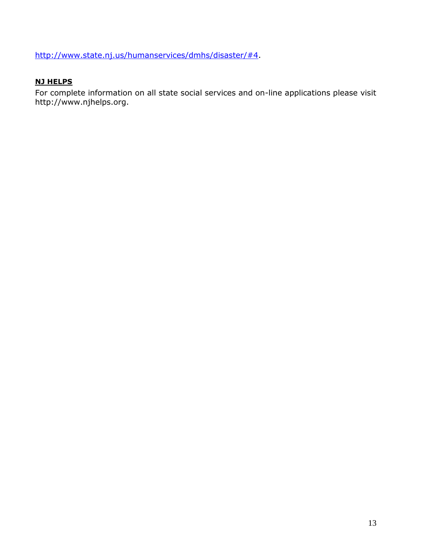[http://www.state.nj.us/humanservices/dmhs/disaster/#4.](http://www.state.nj.us/humanservices/dmhs/disaster/#4)

# <span id="page-12-0"></span>**NJ HELPS**

For complete information on all state social services and on-line applications please visit http://www.njhelps.org.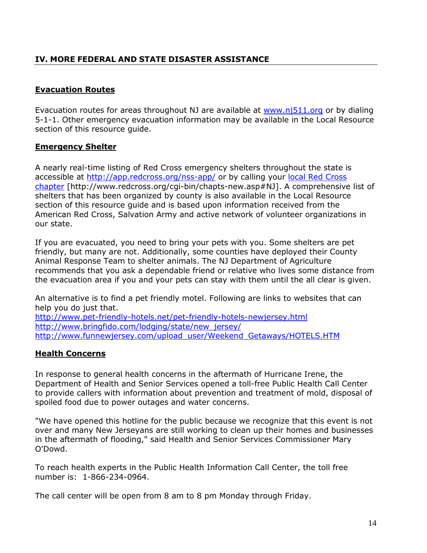# <span id="page-13-0"></span>**IV. MORE FEDERAL AND STATE DISASTER ASSISTANCE**

# <span id="page-13-1"></span>**Evacuation Routes**

Evacuation routes for areas throughout NJ are available at [www.nj511.org](http://www.nj511.org/) or by dialing 5-1-1. Other emergency evacuation information may be available in the Local Resource section of this resource guide.

## <span id="page-13-2"></span>**Emergency Shelter**

A nearly real-time listing of Red Cross emergency shelters throughout the state is accessible at<http://app.redcross.org/nss-app/> or by calling your [local Red Cross](http://www.redcross.org/cgi-bin/chapts-new.asp#NJ)  [chapter](http://www.redcross.org/cgi-bin/chapts-new.asp#NJ) [http://www.redcross.org/cgi-bin/chapts-new.asp#NJ]. A comprehensive list of shelters that has been organized by county is also available in the Local Resource section of this resource guide and is based upon information received from the American Red Cross, Salvation Army and active network of volunteer organizations in our state.

If you are evacuated, you need to bring your pets with you. Some shelters are pet friendly, but many are not. Additionally, some counties have deployed their County Animal Response Team to shelter animals. The NJ Department of Agriculture recommends that you ask a dependable friend or relative who lives some distance from the evacuation area if you and your pets can stay with them until the all clear is given.

An alternative is to find a pet friendly motel. Following are links to websites that can help you do just that.

<http://www.pet-friendly-hotels.net/pet-friendly-hotels-newjersey.html> [http://www.bringfido.com/lodging/state/new\\_jersey/](http://www.bringfido.com/lodging/state/new_jersey/) [http://www.funnewjersey.com/upload\\_user/Weekend\\_Getaways/HOTELS.HTM](http://www.funnewjersey.com/upload_user/Weekend_Getaways/HOTELS.HTM)

# <span id="page-13-3"></span>**Health Concerns**

In response to general health concerns in the aftermath of Hurricane Irene, the Department of Health and Senior Services opened a toll-free Public Health Call Center to provide callers with information about prevention and treatment of mold, disposal of spoiled food due to power outages and water concerns.

"We have opened this hotline for the public because we recognize that this event is not over and many New Jerseyans are still working to clean up their homes and businesses in the aftermath of flooding," said Health and Senior Services Commissioner Mary O'Dowd.

To reach health experts in the Public Health Information Call Center, the toll free number is: 1-866-234-0964.

The call center will be open from 8 am to 8 pm Monday through Friday.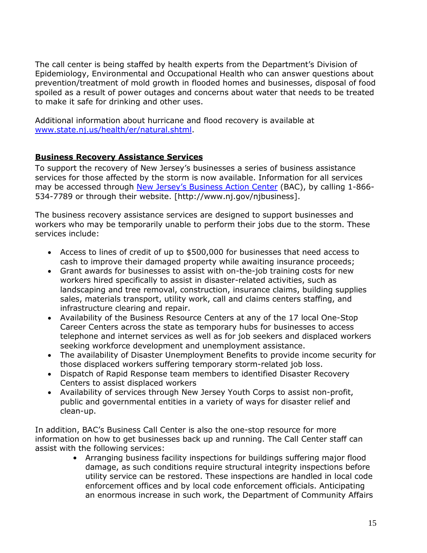The call center is being staffed by health experts from the Department's Division of Epidemiology, Environmental and Occupational Health who can answer questions about prevention/treatment of mold growth in flooded homes and businesses, disposal of food spoiled as a result of power outages and concerns about water that needs to be treated to make it safe for drinking and other uses.

Additional information about hurricane and flood recovery is available at [www.state.nj.us/health/er/natural.shtml.](www.state.nj.us/health/er/natural.shtml)

# <span id="page-14-0"></span>**Business Recovery Assistance Services**

To support the recovery of New Jersey's businesses a series of business assistance services for those affected by the storm is now available. Information for all services may be accessed through [New Jersey's Business Action Center](http://www.nj.gov/njbusiness/) (BAC), by calling 1-866-534-7789 or through their website. [http://www.nj.gov/njbusiness].

The business recovery assistance services are designed to support businesses and workers who may be temporarily unable to perform their jobs due to the storm. These services include:

- Access to lines of credit of up to \$500,000 for businesses that need access to cash to improve their damaged property while awaiting insurance proceeds;
- Grant awards for businesses to assist with on-the-job training costs for new workers hired specifically to assist in disaster-related activities, such as landscaping and tree removal, construction, insurance claims, building supplies sales, materials transport, utility work, call and claims centers staffing, and infrastructure clearing and repair.
- Availability of the Business Resource Centers at any of the 17 local One-Stop Career Centers across the state as temporary hubs for businesses to access telephone and internet services as well as for job seekers and displaced workers seeking workforce development and unemployment assistance.
- The availability of Disaster Unemployment Benefits to provide income security for those displaced workers suffering temporary storm-related job loss.
- Dispatch of Rapid Response team members to identified Disaster Recovery Centers to assist displaced workers
- Availability of services through New Jersey Youth Corps to assist non-profit, public and governmental entities in a variety of ways for disaster relief and clean-up.

In addition, BAC's Business Call Center is also the one-stop resource for more information on how to get businesses back up and running. The Call Center staff can assist with the following services:

• Arranging business facility inspections for buildings suffering major flood damage, as such conditions require structural integrity inspections before utility service can be restored. These inspections are handled in local code enforcement offices and by local code enforcement officials. Anticipating an enormous increase in such work, the Department of Community Affairs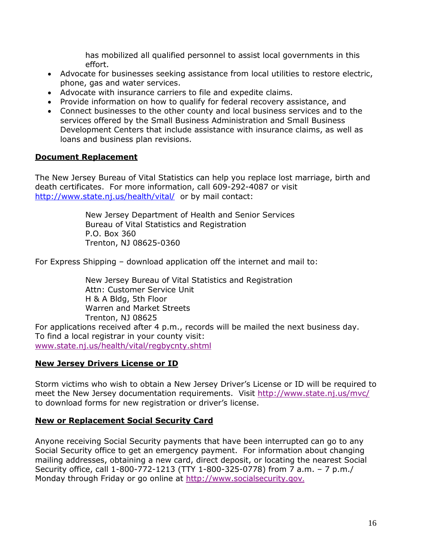has mobilized all qualified personnel to assist local governments in this effort.

- Advocate for businesses seeking assistance from local utilities to restore electric, phone, gas and water services.
- Advocate with insurance carriers to file and expedite claims.
- Provide information on how to qualify for federal recovery assistance, and
- Connect businesses to the other county and local business services and to the services offered by the Small Business Administration and Small Business Development Centers that include assistance with insurance claims, as well as loans and business plan revisions.

#### <span id="page-15-0"></span>**Document Replacement**

The New Jersey Bureau of Vital Statistics can help you replace lost marriage, birth and death certificates. For more information, call 609-292-4087 or visit <http://www.state.nj.us/health/vital/> or by mail contact:

> New Jersey Department of Health and Senior Services Bureau of Vital Statistics and Registration P.O. Box 360 Trenton, NJ 08625-0360

For Express Shipping – download application off the internet and mail to:

New Jersey Bureau of Vital Statistics and Registration Attn: Customer Service Unit H & A Bldg, 5th Floor Warren and Market Streets Trenton, NJ 08625 For applications received after 4 p.m., records will be mailed the next business day. To find a local registrar in your county visit: [www.state.nj.us/health/vital/regbycnty.shtml](http://www.state.nj.us/health/vital/regbycnty.shtml)

#### <span id="page-15-1"></span>**New Jersey Drivers License or ID**

Storm victims who wish to obtain a New Jersey Driver's License or ID will be required to meet the New Jersey documentation requirements. Visit<http://www.state.nj.us/mvc/> to download forms for new registration or driver's license.

#### <span id="page-15-2"></span>**New or Replacement Social Security Card**

Anyone receiving Social Security payments that have been interrupted can go to any Social Security office to get an emergency payment. For information about changing mailing addresses, obtaining a new card, direct deposit, or locating the nearest Social Security office, call 1-800-772-1213 (TTY 1-800-325-0778) from 7 a.m. – 7 p.m./ Monday through Friday or go online at [http://www.socialsecurity.gov](http://www.socialsecurity.gov/).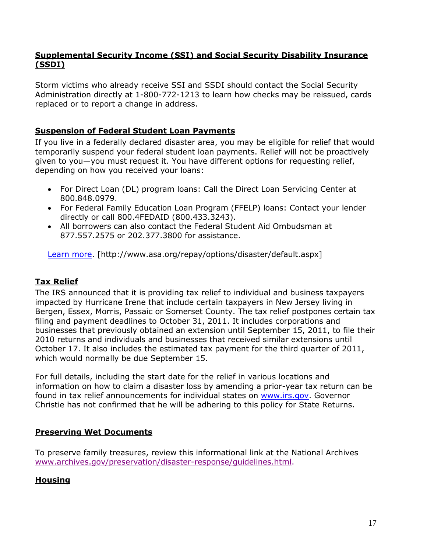## <span id="page-16-0"></span>**Supplemental Security Income (SSI) and Social Security Disability Insurance (SSDI)**

Storm victims who already receive SSI and SSDI should contact the Social Security Administration directly at 1-800-772-1213 to learn how checks may be reissued, cards replaced or to report a change in address.

# <span id="page-16-1"></span>**Suspension of Federal Student Loan Payments**

If you live in a federally declared disaster area, you may be eligible for relief that would temporarily suspend your federal student loan payments. Relief will not be proactively given to you—you must request it. You have different options for requesting relief, depending on how you received your loans:

- For Direct Loan (DL) program loans: Call the Direct Loan Servicing Center at 800.848.0979.
- For Federal Family Education Loan Program (FFELP) loans: Contact your lender directly or call 800.4FEDAID (800.433.3243).
- All borrowers can also contact the Federal Student Aid Ombudsman at 877.557.2575 or 202.377.3800 for assistance.

[Learn more.](http://www.asa.org/repay/options/disaster/default.aspx) [http://www.asa.org/repay/options/disaster/default.aspx]

# <span id="page-16-2"></span>**Tax Relief**

The IRS announced that it is providing tax relief to individual and business taxpayers impacted by Hurricane Irene that include certain taxpayers in New Jersey living in Bergen, Essex, Morris, Passaic or Somerset County. The tax relief postpones certain tax filing and payment deadlines to October 31, 2011. It includes corporations and businesses that previously obtained an extension until September 15, 2011, to file their 2010 returns and individuals and businesses that received similar extensions until October 17. It also includes the estimated tax payment for the third quarter of 2011, which would normally be due September 15.

For full details, including the start date for the relief in various locations and information on how to claim a disaster loss by amending a prior-year tax return can be found in tax relief announcements for individual states on [www.irs.gov.](http://www.irs.gov/) Governor Christie has not confirmed that he will be adhering to this policy for State Returns.

## <span id="page-16-3"></span>**Preserving Wet Documents**

To preserve family treasures, review this informational link at the National Archives [www.archives.gov/preservation/disaster-response/guidelines.html.](http://www.archives.gov/preservation/disaster-response/guidelines.html)

# <span id="page-16-4"></span>**Housing**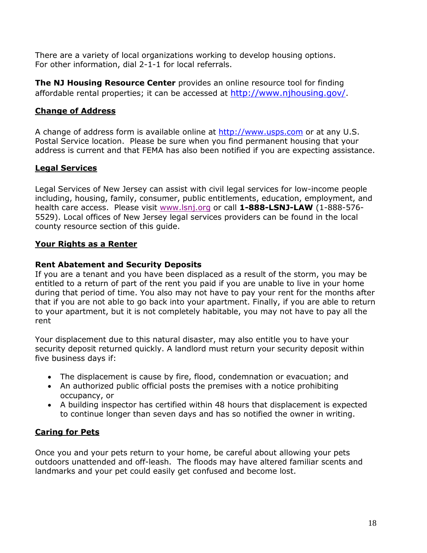There are a variety of local organizations working to develop housing options. For other information, dial 2-1-1 for local referrals.

**The NJ Housing Resource Center** provides an online resource tool for finding affordable rental properties; it can be accessed at <http://www.njhousing.gov/>.

# <span id="page-17-0"></span>**Change of Address**

A change of address form is available online at [http://www.usps.com](http://www.usps.com/) or at any U.S. Postal Service location. Please be sure when you find permanent housing that your address is current and that FEMA has also been notified if you are expecting assistance.

# <span id="page-17-1"></span>**Legal Services**

Legal Services of New Jersey can assist with civil legal services for low-income people including, housing, family, consumer, public entitlements, education, employment, and health care access. Please visit [www.lsnj.org](http://www.lsnj.org/) or call **1-888-LSNJ-LAW** (1-888-576- 5529). Local offices of New Jersey legal services providers can be found in the local county resource section of this guide.

# <span id="page-17-2"></span>**Your Rights as a Renter**

# **Rent Abatement and Security Deposits**

If you are a tenant and you have been displaced as a result of the storm, you may be entitled to a return of part of the rent you paid if you are unable to live in your home during that period of time. You also may not have to pay your rent for the months after that if you are not able to go back into your apartment. Finally, if you are able to return to your apartment, but it is not completely habitable, you may not have to pay all the rent

Your displacement due to this natural disaster, may also entitle you to have your security deposit returned quickly. A landlord must return your security deposit within five business days if:

- The displacement is cause by fire, flood, condemnation or evacuation; and
- An authorized public official posts the premises with a notice prohibiting occupancy, or
- A building inspector has certified within 48 hours that displacement is expected to continue longer than seven days and has so notified the owner in writing.

# <span id="page-17-3"></span>**Caring for Pets**

Once you and your pets return to your home, be careful about allowing your pets outdoors unattended and off-leash. The floods may have altered familiar scents and landmarks and your pet could easily get confused and become lost.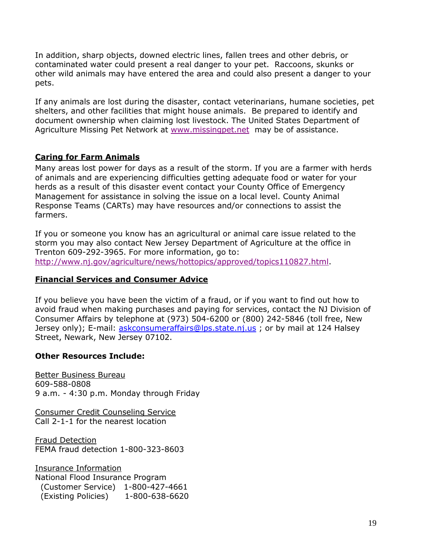In addition, sharp objects, downed electric lines, fallen trees and other debris, or contaminated water could present a real danger to your pet. Raccoons, skunks or other wild animals may have entered the area and could also present a danger to your pets.

If any animals are lost during the disaster, contact veterinarians, humane societies, pet shelters, and other facilities that might house animals. Be prepared to identify and document ownership when claiming lost livestock. The United States Department of Agriculture Missing Pet Network at [www.missingpet.net](http://www.missingpet.net/) may be of assistance.

## <span id="page-18-0"></span>**Caring for Farm Animals**

Many areas lost power for days as a result of the storm. If you are a farmer with herds of animals and are experiencing difficulties getting adequate food or water for your herds as a result of this disaster event contact your County Office of Emergency Management for assistance in solving the issue on a local level. County Animal Response Teams (CARTs) may have resources and/or connections to assist the farmers.

If you or someone you know has an agricultural or animal care issue related to the storm you may also contact New Jersey Department of Agriculture at the office in Trenton 609-292-3965. For more information, go to: [http://www.nj.gov/agriculture/news/hottopics/approved/topics110827.html.](http://www.nj.gov/agriculture/news/hottopics/approved/topics110827.html)

## <span id="page-18-1"></span>**Financial Services and Consumer Advice**

If you believe you have been the victim of a fraud, or if you want to find out how to avoid fraud when making purchases and paying for services, contact the NJ Division of Consumer Affairs by telephone at (973) 504-6200 or (800) 242-5846 (toll free, New Jersey only); E-mail: [askconsumeraffairs@lps.state.nj.us](mailto:askconsumeraffairs@lps.state.nj.us) ; or by mail at 124 Halsey Street, Newark, New Jersey 07102.

## **Other Resources Include:**

Better Business Bureau 609-588-0808 9 a.m. - 4:30 p.m. Monday through Friday

Consumer Credit Counseling Service Call 2-1-1 for the nearest location

Fraud Detection FEMA fraud detection 1-800-323-8603

Insurance Information National Flood Insurance Program (Customer Service) 1-800-427-4661 (Existing Policies) 1-800-638-6620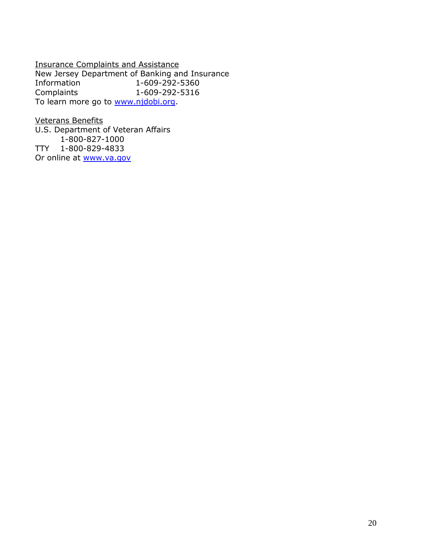Insurance Complaints and Assistance New Jersey Department of Banking and Insurance<br>Information 1-609-292-5360 Information 1-609-292-5360<br>Complaints 1-609-292-5316 Complaints 1-609-292-5316 To learn more go to [www.njdobi.org.](http://www.njdobi.org/)

Veterans Benefits U.S. Department of Veteran Affairs 1-800-827-1000 TTY 1-800-829-4833 Or online at **www.va.gov**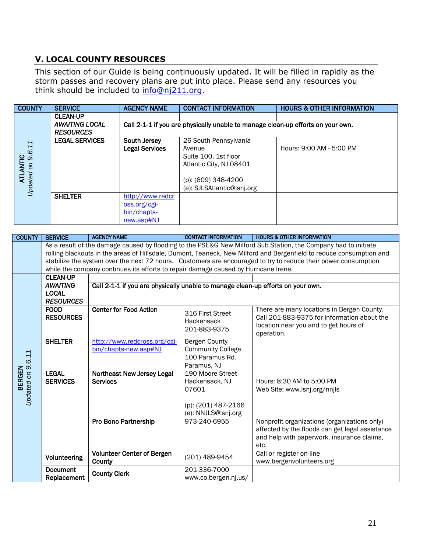# <span id="page-20-0"></span>**V. LOCAL COUNTY RESOURCES**

This section of our Guide is being continuously updated. It will be filled in rapidly as the storm passes and recovery plans are put into place. Please send any resources you think should be included to [info@nj211.org.](mailto:info@nj211.org)

| <b>COUNTY</b>              | <b>SERVICE</b>        | <b>AGENCY NAME</b>    | <b>CONTACT INFORMATION</b>                                                      | <b>HOURS &amp; OTHER INFORMATION</b> |
|----------------------------|-----------------------|-----------------------|---------------------------------------------------------------------------------|--------------------------------------|
|                            | <b>CLEAN-UP</b>       |                       |                                                                                 |                                      |
|                            | <b>AWAITING LOCAL</b> |                       | Call 2-1-1 if you are physically unable to manage clean-up efforts on your own. |                                      |
|                            | <b>RESOURCES</b>      |                       |                                                                                 |                                      |
|                            | <b>LEGAL SERVICES</b> | South Jersey          | 26 South Pennsylvania                                                           |                                      |
|                            |                       | <b>Legal Services</b> | Avenue                                                                          | Hours: 9:00 AM - 5:00 PM             |
|                            |                       |                       | Suite 100, 1st floor                                                            |                                      |
|                            |                       |                       | Atlantic City, NJ 08401                                                         |                                      |
| ATLANTIC<br>ated on 9.6.11 |                       |                       |                                                                                 |                                      |
|                            |                       |                       | (p): (609) 348-4200                                                             |                                      |
| Updated on                 |                       |                       | (e): SJLSAtlantic@lsnj.org                                                      |                                      |
|                            | <b>SHELTER</b>        | http://www.redcr      |                                                                                 |                                      |
|                            |                       | oss.org/cgi-          |                                                                                 |                                      |
|                            |                       | bin/chapts-           |                                                                                 |                                      |
|                            |                       | new.asp#NJ            |                                                                                 |                                      |

| <b>COUNTY</b>                      | <b>SERVICE</b>                                                                                                 | <b>AGENCY NAME</b>                                                                  | <b>CONTACT INFORMATION</b>                  | <b>HOURS &amp; OTHER INFORMATION</b>                                                                                |  |  |
|------------------------------------|----------------------------------------------------------------------------------------------------------------|-------------------------------------------------------------------------------------|---------------------------------------------|---------------------------------------------------------------------------------------------------------------------|--|--|
|                                    |                                                                                                                |                                                                                     |                                             | As a result of the damage caused by flooding to the PSE&G New Milford Sub Station, the Company had to initiate      |  |  |
|                                    |                                                                                                                |                                                                                     |                                             | rolling blackouts in the areas of Hillsdale, Dumont, Teaneck, New Milford and Bergenfield to reduce consumption and |  |  |
|                                    | stabilize the system over the next 72 hours. Customers are encouraged to try to reduce their power consumption |                                                                                     |                                             |                                                                                                                     |  |  |
|                                    |                                                                                                                | while the company continues its efforts to repair damage caused by Hurricane Irene. |                                             |                                                                                                                     |  |  |
|                                    | <b>CLEAN-UP</b>                                                                                                |                                                                                     |                                             |                                                                                                                     |  |  |
|                                    | <b>AWAITING</b>                                                                                                | Call 2-1-1 if you are physically unable to manage clean-up efforts on your own.     |                                             |                                                                                                                     |  |  |
|                                    | <b>LOCAL</b>                                                                                                   |                                                                                     |                                             |                                                                                                                     |  |  |
|                                    | <b>RESOURCES</b>                                                                                               |                                                                                     |                                             |                                                                                                                     |  |  |
|                                    | <b>FOOD</b>                                                                                                    | <b>Center for Food Action</b>                                                       | 316 First Street                            | There are many locations in Bergen County.                                                                          |  |  |
|                                    | <b>RESOURCES</b>                                                                                               |                                                                                     | Hackensack                                  | Call 201-883-9375 for information about the                                                                         |  |  |
|                                    |                                                                                                                |                                                                                     | 201-883-9375                                | location near you and to get hours of                                                                               |  |  |
|                                    |                                                                                                                |                                                                                     |                                             | operation.                                                                                                          |  |  |
|                                    | <b>SHELTER</b>                                                                                                 | http://www.redcross.org/cgi-                                                        | <b>Bergen County</b>                        |                                                                                                                     |  |  |
|                                    |                                                                                                                | bin/chapts-new.asp#NJ                                                               | <b>Community College</b><br>100 Paramus Rd. |                                                                                                                     |  |  |
|                                    |                                                                                                                |                                                                                     | Paramus, NJ                                 |                                                                                                                     |  |  |
| Updated on 9.6.11<br><b>BERGEN</b> | <b>LEGAL</b>                                                                                                   | Northeast New Jersey Legal                                                          | 190 Moore Street                            |                                                                                                                     |  |  |
|                                    | <b>SERVICES</b>                                                                                                | <b>Services</b>                                                                     | Hackensack, NJ                              | Hours: 8:30 AM to 5:00 PM                                                                                           |  |  |
|                                    |                                                                                                                |                                                                                     | 07601                                       | Web Site: www.lsnj.org/nnjls                                                                                        |  |  |
|                                    |                                                                                                                |                                                                                     |                                             |                                                                                                                     |  |  |
|                                    |                                                                                                                |                                                                                     | (p): (201) 487-2166                         |                                                                                                                     |  |  |
|                                    |                                                                                                                |                                                                                     | (e): NNJLS@lsnj.org                         |                                                                                                                     |  |  |
|                                    |                                                                                                                | Pro Bono Partnership                                                                | 973-240-6955                                | Nonprofit organizations (organizations only)                                                                        |  |  |
|                                    |                                                                                                                |                                                                                     |                                             | affected by the floods can get legal assistance                                                                     |  |  |
|                                    |                                                                                                                |                                                                                     |                                             | and help with paperwork, insurance claims,                                                                          |  |  |
|                                    |                                                                                                                |                                                                                     |                                             | etc.                                                                                                                |  |  |
|                                    |                                                                                                                | <b>Volunteer Center of Bergen</b>                                                   |                                             | Call or register on-line                                                                                            |  |  |
|                                    | Volunteering                                                                                                   | County                                                                              | (201) 489-9454                              | www.bergenvolunteers.org                                                                                            |  |  |
|                                    | <b>Document</b>                                                                                                | <b>County Clerk</b>                                                                 | 201-336-7000                                |                                                                                                                     |  |  |
|                                    | Replacement                                                                                                    |                                                                                     | www.co.bergen.nj.us/                        |                                                                                                                     |  |  |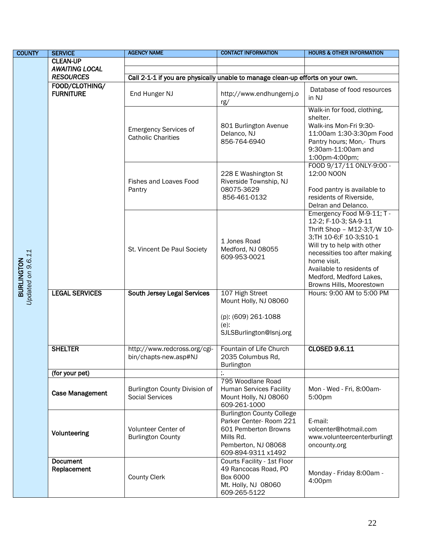| <b>COUNTY</b>                          | <b>SERVICE</b>                                               | <b>AGENCY NAME</b>                                                              | <b>CONTACT INFORMATION</b>                                                                                                                   | <b>HOURS &amp; OTHER INFORMATION</b>                                                                                                                                                                                                                                           |  |  |
|----------------------------------------|--------------------------------------------------------------|---------------------------------------------------------------------------------|----------------------------------------------------------------------------------------------------------------------------------------------|--------------------------------------------------------------------------------------------------------------------------------------------------------------------------------------------------------------------------------------------------------------------------------|--|--|
|                                        | <b>CLEAN-UP</b><br><b>AWAITING LOCAL</b><br><b>RESOURCES</b> |                                                                                 |                                                                                                                                              |                                                                                                                                                                                                                                                                                |  |  |
|                                        |                                                              |                                                                                 |                                                                                                                                              |                                                                                                                                                                                                                                                                                |  |  |
|                                        |                                                              | Call 2-1-1 if you are physically unable to manage clean-up efforts on your own. |                                                                                                                                              |                                                                                                                                                                                                                                                                                |  |  |
|                                        | FOOD/CLOTHING/<br><b>FURNITURE</b>                           | End Hunger NJ                                                                   | http://www.endhungernj.o<br>rg/                                                                                                              | Database of food resources<br>in NJ                                                                                                                                                                                                                                            |  |  |
|                                        |                                                              | <b>Emergency Services of</b><br><b>Catholic Charities</b>                       | 801 Burlington Avenue<br>Delanco, NJ<br>856-764-6940                                                                                         | Walk-in for food, clothing,<br>shelter.<br>Walk-ins Mon-Fri 9:30-<br>11:00am 1:30-3:30pm Food<br>Pantry hours; Mon,- Thurs<br>9:30am-11:00am and<br>1:00pm-4:00pm;                                                                                                             |  |  |
|                                        |                                                              | Fishes and Loaves Food<br>Pantry                                                | 228 E Washington St<br>Riverside Township, NJ<br>08075-3629<br>856-461-0132                                                                  | FOOD 9/17/11 ONLY-9:00 -<br>12:00 NOON<br>Food pantry is available to<br>residents of Riverside,<br>Delran and Delanco.                                                                                                                                                        |  |  |
| Updated on 9.6.11<br><b>BURLINGTON</b> |                                                              | St. Vincent De Paul Society                                                     | 1 Jones Road<br>Medford, NJ 08055<br>609-953-0021                                                                                            | Emergency Food M-9-11; T -<br>12-2; F-10-3; SA-9-11<br>Thrift Shop - M12-3;T/W 10-<br>3;TH 10-6;F 10-3;S10-1<br>Will try to help with other<br>necessities too after making<br>home visit.<br>Available to residents of<br>Medford, Medford Lakes,<br>Browns Hills, Moorestown |  |  |
|                                        | <b>LEGAL SERVICES</b>                                        | <b>South Jersey Legal Services</b>                                              | 107 High Street<br>Mount Holly, NJ 08060<br>(p): (609) 261-1088<br>$(e)$ :                                                                   | Hours: 9:00 AM to 5:00 PM                                                                                                                                                                                                                                                      |  |  |
|                                        |                                                              |                                                                                 | SJLSBurlington@lsnj.org                                                                                                                      |                                                                                                                                                                                                                                                                                |  |  |
|                                        | <b>SHELTER</b>                                               | http://www.redcross.org/cgi-<br>bin/chapts-new.asp#NJ                           | Fountain of Life Church<br>2035 Columbus Rd.<br><b>Burlington</b>                                                                            | <b>CLOSED 9.6.11</b>                                                                                                                                                                                                                                                           |  |  |
|                                        | (for your pet)                                               |                                                                                 |                                                                                                                                              |                                                                                                                                                                                                                                                                                |  |  |
|                                        | <b>Case Management</b>                                       | Burlington County Division of<br><b>Social Services</b>                         | 795 Woodlane Road<br><b>Human Services Facility</b><br>Mount Holly, NJ 08060<br>609-261-1000                                                 | Mon - Wed - Fri, 8:00am-<br>5:00pm                                                                                                                                                                                                                                             |  |  |
|                                        | Volunteering                                                 | <b>Volunteer Center of</b><br><b>Burlington County</b>                          | <b>Burlington County College</b><br>Parker Center-Room 221<br>601 Pemberton Browns<br>Mills Rd.<br>Pemberton, NJ 08068<br>609-894-9311 x1492 | E-mail:<br>volcenter@hotmail.com<br>www.volunteercenterburlingt<br>oncounty.org                                                                                                                                                                                                |  |  |
|                                        | <b>Document</b><br>Replacement                               | <b>County Clerk</b>                                                             | Courts Facility - 1st Floor<br>49 Rancocas Road, PO<br><b>Box 6000</b><br>Mt. Holly, NJ 08060<br>609-265-5122                                | Monday - Friday 8:00am -<br>4:00pm                                                                                                                                                                                                                                             |  |  |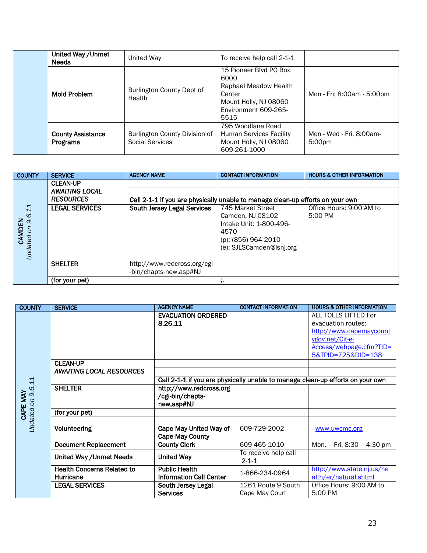| United Way / Unmet<br><b>Needs</b>          | United Way                                       | To receive help call 2-1-1                                                                                                 |                                    |
|---------------------------------------------|--------------------------------------------------|----------------------------------------------------------------------------------------------------------------------------|------------------------------------|
| Mold Problem                                | Burlington County Dept of<br>Health              | 15 Pioneer Blvd PO Box<br>6000<br>Raphael Meadow Health<br>Center<br>Mount Holly, NJ 08060<br>Environment 609-265-<br>5515 | Mon - Fri; 8:00am - 5:00pm         |
| <b>County Assistance</b><br><b>Programs</b> | Burlington County Division of<br>Social Services | 795 Woodlane Road<br><b>Human Services Facility</b><br>Mount Holly, NJ 08060<br>609-261-1000                               | Mon - Wed - Fri, 8:00am-<br>5:00pm |

| <b>COUNTY</b>      | <b>SERVICE</b>        | <b>AGENCY NAME</b>                 | <b>CONTACT INFORMATION</b>                                                     | <b>HOURS &amp; OTHER INFORMATION</b> |
|--------------------|-----------------------|------------------------------------|--------------------------------------------------------------------------------|--------------------------------------|
|                    | <b>CLEAN-UP</b>       |                                    |                                                                                |                                      |
|                    | <b>AWAITING LOCAL</b> |                                    |                                                                                |                                      |
|                    | <b>RESOURCES</b>      |                                    | Call 2-1-1 if you are physically unable to manage clean-up efforts on your own |                                      |
| 6.11               | <b>LEGAL SERVICES</b> | <b>South Jersey Legal Services</b> | 745 Market Street                                                              | Office Hours: 9:00 AM to             |
|                    |                       |                                    | Camden, NJ 08102                                                               | $5:00 \text{ PM}$                    |
| $\infty$<br>CAMDEN |                       |                                    | Intake Unit: 1-800-496-                                                        |                                      |
| S                  |                       |                                    | 4570                                                                           |                                      |
|                    |                       |                                    | (p): (856) 964-2010                                                            |                                      |
| <b>Jpdated</b>     |                       |                                    | (e): SJLSCamden@Isnj.org                                                       |                                      |
|                    |                       |                                    |                                                                                |                                      |
|                    | <b>SHELTER</b>        | http://www.redcross.org/cgi        |                                                                                |                                      |
|                    |                       | -bin/chapts-new.asp#NJ             |                                                                                |                                      |
|                    | (for your pet)        |                                    | ,,                                                                             |                                      |

| <b>COUNTY</b>                 | <b>SERVICE</b>                                 | <b>AGENCY NAME</b>                                                             | <b>CONTACT INFORMATION</b>           | <b>HOURS &amp; OTHER INFORMATION</b>                                                                                                      |  |
|-------------------------------|------------------------------------------------|--------------------------------------------------------------------------------|--------------------------------------|-------------------------------------------------------------------------------------------------------------------------------------------|--|
|                               |                                                | <b>EVACUATION ORDERED</b><br>8.26.11                                           |                                      | ALL TOLLS LIFTED For<br>evacuation routes:<br>http://www.capemaycount<br>ygov.net/Cit-e-<br>Access/webpage.cfm?TID=<br>5&TPID=725&DID=138 |  |
|                               | <b>CLEAN-UP</b>                                |                                                                                |                                      |                                                                                                                                           |  |
| Updated on 9.6.11<br>CAPE MAY | <b>AWAITING LOCAL RESOURCES</b>                | Call 2-1-1 if you are physically unable to manage clean-up efforts on your own |                                      |                                                                                                                                           |  |
|                               | <b>SHELTER</b>                                 | http://www.redcross.org<br>/cgi-bin/chapts-<br>new.asp#NJ                      |                                      |                                                                                                                                           |  |
|                               | (for your pet)                                 |                                                                                |                                      |                                                                                                                                           |  |
|                               | Volunteering                                   | Cape May United Way of<br><b>Cape May County</b>                               | 609-729-2002                         | www.uwcmc.org                                                                                                                             |  |
|                               | <b>Document Replacement</b>                    | <b>County Clerk</b>                                                            | 609-465-1010                         | Mon. - Fri. 8:30 - 4:30 pm                                                                                                                |  |
|                               | United Way / Unmet Needs                       | <b>United Way</b>                                                              | To receive help call<br>$2 - 1 - 1$  |                                                                                                                                           |  |
|                               | <b>Health Concerns Related to</b><br>Hurricane | <b>Public Health</b><br><b>Information Call Center</b>                         | 1-866-234-0964                       | http://www.state.nj.us/he<br>alth/er/natural.shtml                                                                                        |  |
|                               | <b>LEGAL SERVICES</b>                          | South Jersey Legal<br><b>Services</b>                                          | 1261 Route 9 South<br>Cape May Court | Office Hours: 9:00 AM to<br>5:00 PM                                                                                                       |  |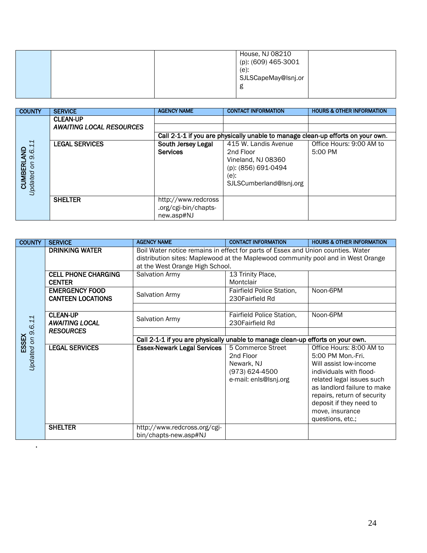|  | House, NJ 08210<br>$\frac{1}{2}$ (p): (609) 465-3001<br>$(e)$ :<br>SJLSCapeMay@lsnj.or<br>g |  |
|--|---------------------------------------------------------------------------------------------|--|
|  |                                                                                             |  |

| <b>COUNTY</b>              | <b>SERVICE</b>                  | <b>AGENCY NAME</b>   | <b>CONTACT INFORMATION</b>                                                      | <b>HOURS &amp; OTHER INFORMATION</b> |
|----------------------------|---------------------------------|----------------------|---------------------------------------------------------------------------------|--------------------------------------|
|                            | <b>CLEAN-UP</b>                 |                      |                                                                                 |                                      |
|                            | <b>AWAITING LOCAL RESOURCES</b> |                      |                                                                                 |                                      |
|                            |                                 |                      | Call 2-1-1 if you are physically unable to manage clean-up efforts on your own. |                                      |
|                            | <b>LEGAL SERVICES</b>           | South Jersey Legal   | 415 W. Landis Avenue                                                            | Office Hours: 9:00 AM to             |
| 9.6.11<br>$\frac{1}{2}$    |                                 | <b>Services</b>      | 2nd Floor                                                                       | 5:00 PM                              |
|                            |                                 |                      | Vineland, NJ 08360                                                              |                                      |
| <b>CUMBERL</b><br>$\delta$ |                                 |                      | (p): (856) 691-0494                                                             |                                      |
|                            |                                 |                      | (e):                                                                            |                                      |
| <b>Jpdated</b>             |                                 |                      | SJLSCumberland@lsnj.org                                                         |                                      |
|                            |                                 |                      |                                                                                 |                                      |
|                            | <b>SHELTER</b>                  | http://www.redcross  |                                                                                 |                                      |
|                            |                                 | .org/cgi-bin/chapts- |                                                                                 |                                      |
|                            |                                 | new.asp#NJ           |                                                                                 |                                      |

| <b>COUNTY</b>              | <b>SERVICE</b>                                    | <b>AGENCY NAME</b>                                                                                                                                                                                      | <b>CONTACT INFORMATION</b>                                                              | <b>HOURS &amp; OTHER INFORMATION</b>                                                                                                                                                                                                                            |  |
|----------------------------|---------------------------------------------------|---------------------------------------------------------------------------------------------------------------------------------------------------------------------------------------------------------|-----------------------------------------------------------------------------------------|-----------------------------------------------------------------------------------------------------------------------------------------------------------------------------------------------------------------------------------------------------------------|--|
|                            | <b>DRINKING WATER</b>                             | Boil Water notice remains in effect for parts of Essex and Union counties. Water<br>distribution sites: Maplewood at the Maplewood community pool and in West Orange<br>at the West Orange High School. |                                                                                         |                                                                                                                                                                                                                                                                 |  |
|                            | <b>CELL PHONE CHARGING</b><br><b>CENTER</b>       | Salvation Army                                                                                                                                                                                          | 13 Trinity Place,<br>Montclair                                                          |                                                                                                                                                                                                                                                                 |  |
|                            | <b>EMERGENCY FOOD</b><br><b>CANTEEN LOCATIONS</b> | <b>Salvation Army</b>                                                                                                                                                                                   | Fairfield Police Station,<br>230Fairfield Rd                                            | Noon-6PM                                                                                                                                                                                                                                                        |  |
|                            | <b>CLEAN-UP</b><br><b>AWAITING LOCAL</b>          | <b>Salvation Army</b>                                                                                                                                                                                   | Fairfield Police Station,<br>230 Fairfield Rd                                           | Noon-6PM                                                                                                                                                                                                                                                        |  |
|                            | <b>RESOURCES</b>                                  | Call 2-1-1 if you are physically unable to manage clean-up efforts on your own.                                                                                                                         |                                                                                         |                                                                                                                                                                                                                                                                 |  |
| Updated on 9.6.11<br>ESSEX | <b>LEGAL SERVICES</b>                             | <b>Essex-Newark Legal Services</b>                                                                                                                                                                      | 5 Commerce Street<br>2nd Floor<br>Newark, NJ<br>(973) 624-4500<br>e-mail: enls@lsnj.org | Office Hours: 8:00 AM to<br>5:00 PM Mon.-Fri.<br>Will assist low-income<br>individuals with flood-<br>related legal issues such<br>as landlord failure to make<br>repairs, return of security<br>deposit if they need to<br>move, insurance<br>questions, etc.; |  |
|                            | <b>SHELTER</b>                                    | http://www.redcross.org/cgi-<br>bin/chapts-new.asp#NJ                                                                                                                                                   |                                                                                         |                                                                                                                                                                                                                                                                 |  |

.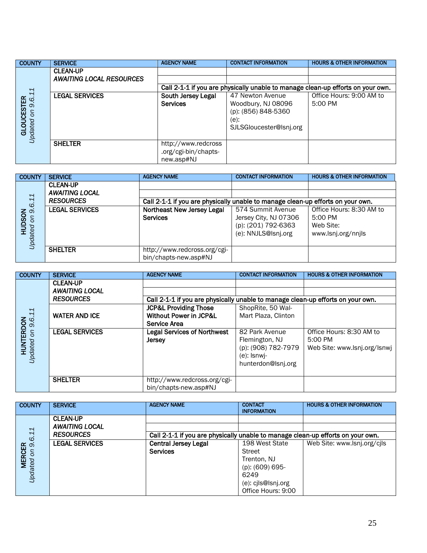| <b>COUNTY</b>          | <b>SERVICE</b>                  | <b>AGENCY NAME</b>                                                              | <b>CONTACT INFORMATION</b> | <b>HOURS &amp; OTHER INFORMATION</b> |  |  |
|------------------------|---------------------------------|---------------------------------------------------------------------------------|----------------------------|--------------------------------------|--|--|
|                        | <b>CLEAN-UP</b>                 |                                                                                 |                            |                                      |  |  |
|                        | <b>AWAITING LOCAL RESOURCES</b> |                                                                                 |                            |                                      |  |  |
|                        |                                 | Call 2-1-1 if you are physically unable to manage clean-up efforts on your own. |                            |                                      |  |  |
| 11                     | <b>LEGAL SERVICES</b>           | South Jersey Legal                                                              | 47 Newton Avenue           | Office Hours: 9:00 AM to             |  |  |
| 9.6.                   |                                 | <b>Services</b>                                                                 | Woodbury, NJ 08096         | 5:00 PM                              |  |  |
| <b>GLOUCESTER</b><br>S |                                 |                                                                                 | (p): (856) 848-5360        |                                      |  |  |
|                        |                                 |                                                                                 | (e):                       |                                      |  |  |
|                        |                                 |                                                                                 | SJLSGloucester@Isnj.org    |                                      |  |  |
| Updated                |                                 |                                                                                 |                            |                                      |  |  |
|                        | <b>SHELTER</b>                  | http://www.redcross                                                             |                            |                                      |  |  |
|                        |                                 | .org/cgi-bin/chapts-                                                            |                            |                                      |  |  |
|                        |                                 | new.asp#NJ                                                                      |                            |                                      |  |  |

| <b>COUNTY</b>       | <b>SERVICE</b>        | <b>AGENCY NAME</b>                                                              | <b>CONTACT INFORMATION</b> | <b>HOURS &amp; OTHER INFORMATION</b> |  |
|---------------------|-----------------------|---------------------------------------------------------------------------------|----------------------------|--------------------------------------|--|
|                     | <b>CLEAN-UP</b>       |                                                                                 |                            |                                      |  |
|                     | <b>AWAITING LOCAL</b> |                                                                                 |                            |                                      |  |
| 6.11                | <b>RESOURCES</b>      | Call 2-1-1 if you are physically unable to manage clean-up efforts on your own. |                            |                                      |  |
|                     | <b>LEGAL SERVICES</b> | Northeast New Jersey Legal                                                      | 574 Summit Avenue          | Office Hours: 8:30 AM to             |  |
| HUDSON<br>ted on 9. |                       | <b>Services</b>                                                                 | Jersey City, NJ 07306      | 5:00 PM                              |  |
|                     |                       |                                                                                 | (p): (201) 792-6363        | Web Site:                            |  |
|                     |                       |                                                                                 | (e): NNJLS@lsnj.org        | www.lsnj.org/nnjls                   |  |
| Updated             |                       |                                                                                 |                            |                                      |  |
|                     | <b>SHELTER</b>        | http://www.redcross.org/cgi-                                                    |                            |                                      |  |
|                     |                       | bin/chapts-new.asp#NJ                                                           |                            |                                      |  |

| <b>COUNTY</b>          | <b>SERVICE</b>        | <b>AGENCY NAME</b>                                                              | <b>CONTACT INFORMATION</b> | <b>HOURS &amp; OTHER INFORMATION</b> |
|------------------------|-----------------------|---------------------------------------------------------------------------------|----------------------------|--------------------------------------|
|                        | <b>CLEAN-UP</b>       |                                                                                 |                            |                                      |
|                        | <b>AWAITING LOCAL</b> |                                                                                 |                            |                                      |
|                        | <b>RESOURCES</b>      | Call 2-1-1 if you are physically unable to manage clean-up efforts on your own. |                            |                                      |
|                        |                       | <b>JCP&amp;L Providing Those</b>                                                | ShopRite, 50 Wal-          |                                      |
|                        | <b>WATER AND ICE</b>  | <b>Without Power in JCP&amp;L</b>                                               | Mart Plaza, Clinton        |                                      |
|                        |                       | Service Area                                                                    |                            |                                      |
| on 9.6.11<br>HUNTERDON | <b>LEGAL SERVICES</b> | <b>Legal Services of Northwest</b>                                              | 82 Park Avenue             | Office Hours: 8:30 AM to             |
|                        |                       | <b>Jersey</b>                                                                   | Flemington, NJ             | 5:00 PM                              |
| Jodated                |                       |                                                                                 | (p): (908) 782-7979        | Web Site: www.lsnj.org/lsnwj         |
|                        |                       |                                                                                 | $(e)$ : Isnwi-             |                                      |
|                        |                       |                                                                                 | hunterdon@Isnj.org         |                                      |
|                        |                       |                                                                                 |                            |                                      |
|                        | <b>SHELTER</b>        | http://www.redcross.org/cgi-                                                    |                            |                                      |
|                        |                       | bin/chapts-new.asp#NJ                                                           |                            |                                      |

| <b>COUNTY</b>  | <b>SERVICE</b>        | <b>AGENCY NAME</b>          | <b>CONTACT</b>                                                                  | <b>HOURS &amp; OTHER INFORMATION</b> |
|----------------|-----------------------|-----------------------------|---------------------------------------------------------------------------------|--------------------------------------|
|                |                       |                             | <b>INFORMATION</b>                                                              |                                      |
|                | <b>CLEAN-UP</b>       |                             |                                                                                 |                                      |
|                | <b>AWAITING LOCAL</b> |                             |                                                                                 |                                      |
| 9.6.11         | <b>RESOURCES</b>      |                             | Call 2-1-1 if you are physically unable to manage clean-up efforts on your own. |                                      |
|                | <b>LEGAL SERVICES</b> | <b>Central Jersey Legal</b> | 198 West State                                                                  | Web Site: www.lsnj.org/cils          |
| $\delta$       |                       | <b>Services</b>             | <b>Street</b>                                                                   |                                      |
| <b>MERCER</b>  |                       |                             | Trenton, NJ                                                                     |                                      |
|                |                       |                             | (p): (609) 695-                                                                 |                                      |
| <b>Updated</b> |                       |                             | 6249                                                                            |                                      |
|                |                       |                             | (e): cjls@lsnj.org                                                              |                                      |
|                |                       |                             | Office Hours: 9:00                                                              |                                      |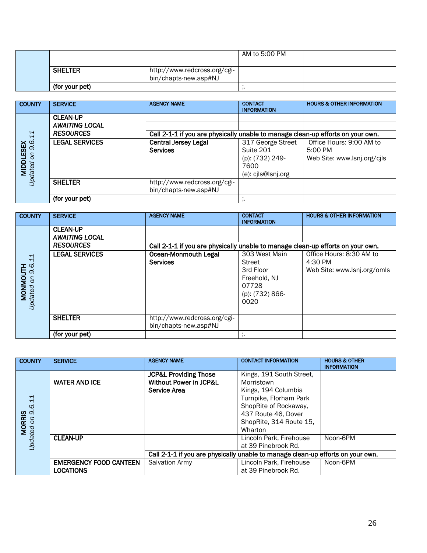|                |                                                       | AM to 5:00 PM |  |
|----------------|-------------------------------------------------------|---------------|--|
| <b>SHELTER</b> | http://www.redcross.org/cgi-<br>bin/chapts-new.asp#NJ |               |  |
| (for your pet) |                                                       |               |  |

| <b>COUNTY</b>    | <b>SERVICE</b>        | <b>AGENCY NAME</b>                                                              | <b>CONTACT</b><br><b>INFORMATION</b> | <b>HOURS &amp; OTHER INFORMATION</b> |
|------------------|-----------------------|---------------------------------------------------------------------------------|--------------------------------------|--------------------------------------|
|                  | <b>CLEAN-UP</b>       |                                                                                 |                                      |                                      |
|                  | <b>AWAITING LOCAL</b> |                                                                                 |                                      |                                      |
|                  | <b>RESOURCES</b>      | Call 2-1-1 if you are physically unable to manage clean-up efforts on your own. |                                      |                                      |
| 9.6.11           | <b>LEGAL SERVICES</b> | <b>Central Jersey Legal</b>                                                     | 317 George Street                    | Office Hours: 9:00 AM to             |
|                  |                       | <b>Services</b>                                                                 | Suite 201                            | 5:00 PM                              |
| S                |                       |                                                                                 | (p): (732) 249-                      | Web Site: www.lsnj.org/cjls          |
| <b>MIDDLESEX</b> |                       |                                                                                 | 7600                                 |                                      |
| Jpdated          |                       |                                                                                 | (e): cjls@lsnj.org                   |                                      |
|                  | <b>SHELTER</b>        | http://www.redcross.org/cgi-                                                    |                                      |                                      |
|                  |                       | bin/chapts-new.asp#NJ                                                           |                                      |                                      |
|                  | (for your pet)        |                                                                                 |                                      |                                      |

| <b>COUNTY</b>           | <b>SERVICE</b>        | <b>AGENCY NAME</b>                                                              | <b>CONTACT</b><br><b>INFORMATION</b> | <b>HOURS &amp; OTHER INFORMATION</b> |
|-------------------------|-----------------------|---------------------------------------------------------------------------------|--------------------------------------|--------------------------------------|
|                         | <b>CLEAN-UP</b>       |                                                                                 |                                      |                                      |
|                         | <b>AWAITING LOCAL</b> |                                                                                 |                                      |                                      |
|                         | <b>RESOURCES</b>      | Call 2-1-1 if you are physically unable to manage clean-up efforts on your own. |                                      |                                      |
| 11                      | <b>LEGAL SERVICES</b> | <b>Ocean-Monmouth Legal</b>                                                     | 303 West Main                        | Office Hours: 8:30 AM to             |
|                         |                       | <b>Services</b>                                                                 | Street                               | 4:30 PM                              |
| 9.6.<br><b>MONMOUTH</b> |                       |                                                                                 | 3rd Floor                            | Web Site: www.lsnj.org/omls          |
| S                       |                       |                                                                                 | Freehold, NJ                         |                                      |
|                         |                       |                                                                                 | 07728                                |                                      |
|                         |                       |                                                                                 | (p): (732) 866-                      |                                      |
| Jpdated                 |                       |                                                                                 | 0020                                 |                                      |
|                         |                       |                                                                                 |                                      |                                      |
|                         | <b>SHELTER</b>        | http://www.redcross.org/cgi-                                                    |                                      |                                      |
|                         |                       | bin/chapts-new.asp#NJ                                                           |                                      |                                      |
|                         | (for your pet)        |                                                                                 | ,.                                   |                                      |

| <b>COUNTY</b>                                | <b>SERVICE</b>                | <b>AGENCY NAME</b>                                                              | <b>CONTACT INFORMATION</b> | <b>HOURS &amp; OTHER</b><br><b>INFORMATION</b> |
|----------------------------------------------|-------------------------------|---------------------------------------------------------------------------------|----------------------------|------------------------------------------------|
|                                              |                               | <b>JCP&amp;L Providing Those</b>                                                | Kings, 191 South Street,   |                                                |
|                                              | <b>WATER AND ICE</b>          | <b>Without Power in JCP&amp;L</b>                                               | Morristown                 |                                                |
|                                              |                               | <b>Service Area</b>                                                             | Kings, 194 Columbia        |                                                |
|                                              |                               |                                                                                 | Turnpike, Florham Park     |                                                |
|                                              |                               |                                                                                 | ShopRite of Rockaway,      |                                                |
|                                              |                               |                                                                                 | 437 Route 46, Dover        |                                                |
|                                              |                               |                                                                                 | ShopRite, 314 Route 15,    |                                                |
| <b>MORRIS</b><br>ted on 9.6.11<br>Updated on |                               |                                                                                 | Wharton                    |                                                |
|                                              | <b>CLEAN-UP</b>               |                                                                                 | Lincoln Park, Firehouse    | Noon-6PM                                       |
|                                              |                               |                                                                                 | at 39 Pinebrook Rd.        |                                                |
|                                              |                               | Call 2-1-1 if you are physically unable to manage clean-up efforts on your own. |                            |                                                |
|                                              | <b>EMERGENCY FOOD CANTEEN</b> | <b>Salvation Army</b>                                                           | Lincoln Park, Firehouse    | Noon-6PM                                       |
|                                              | LOCATIONS                     |                                                                                 | at 39 Pinebrook Rd.        |                                                |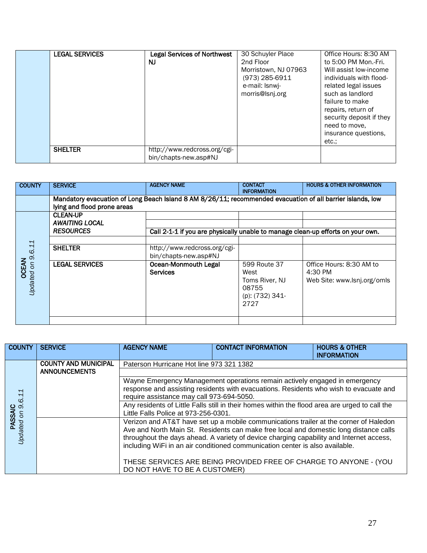| <b>LEGAL SERVICES</b> | <b>Legal Services of Northwest</b><br>NJ              | 30 Schuyler Place<br>2nd Floor<br>Morristown, NJ 07963<br>(973) 285-6911<br>e-mail: Isnwi-<br>morris@lsnj.org | Office Hours: 8:30 AM<br>to 5:00 PM Mon.-Fri.<br>Will assist low-income<br>individuals with flood-<br>related legal issues<br>such as landlord<br>failure to make<br>repairs, return of<br>security deposit if they<br>need to move.<br>insurance questions,<br>etc.: |
|-----------------------|-------------------------------------------------------|---------------------------------------------------------------------------------------------------------------|-----------------------------------------------------------------------------------------------------------------------------------------------------------------------------------------------------------------------------------------------------------------------|
| <b>SHELTER</b>        | http://www.redcross.org/cgi-<br>bin/chapts-new.asp#NJ |                                                                                                               |                                                                                                                                                                                                                                                                       |

| <b>COUNTY</b>                      | <b>SERVICE</b>                                                                                                                            | <b>AGENCY NAME</b>                                                              | <b>CONTACT</b><br><b>INFORMATION</b>                                       | <b>HOURS &amp; OTHER INFORMATION</b>                               |  |  |
|------------------------------------|-------------------------------------------------------------------------------------------------------------------------------------------|---------------------------------------------------------------------------------|----------------------------------------------------------------------------|--------------------------------------------------------------------|--|--|
|                                    | Mandatory evacuation of Long Beach Island 8 AM 8/26/11; recommended evacuation of all barrier islands, low<br>lying and flood prone areas |                                                                                 |                                                                            |                                                                    |  |  |
|                                    | <b>CLEAN-UP</b><br><b>AWAITING LOCAL</b>                                                                                                  |                                                                                 |                                                                            |                                                                    |  |  |
|                                    | <b>RESOURCES</b>                                                                                                                          | Call 2-1-1 if you are physically unable to manage clean-up efforts on your own. |                                                                            |                                                                    |  |  |
| 9.6.11                             | <b>SHELTER</b>                                                                                                                            | http://www.redcross.org/cgi-<br>bin/chapts-new.asp#NJ                           |                                                                            |                                                                    |  |  |
| <b>OCEAN</b><br>ed on S<br>Jpdated | <b>LEGAL SERVICES</b>                                                                                                                     | <b>Ocean-Monmouth Legal</b><br><b>Services</b>                                  | 599 Route 37<br>West<br>Toms River, NJ<br>08755<br>(p): (732) 341-<br>2727 | Office Hours: 8:30 AM to<br>4:30 PM<br>Web Site: www.lsnj.org/omls |  |  |
|                                    |                                                                                                                                           |                                                                                 |                                                                            |                                                                    |  |  |

| <b>COUNTY</b>                       | <b>SERVICE</b>              | <b>AGENCY NAME</b>                                                                                                                 | <b>CONTACT INFORMATION</b>                                                              | <b>HOURS &amp; OTHER</b><br><b>INFORMATION</b> |  |  |  |
|-------------------------------------|-----------------------------|------------------------------------------------------------------------------------------------------------------------------------|-----------------------------------------------------------------------------------------|------------------------------------------------|--|--|--|
|                                     | <b>COUNTY AND MUNICIPAL</b> | Paterson Hurricane Hot line 973 321 1382                                                                                           |                                                                                         |                                                |  |  |  |
|                                     | <b>ANNOUNCEMENTS</b>        |                                                                                                                                    |                                                                                         |                                                |  |  |  |
|                                     |                             |                                                                                                                                    | Wayne Emergency Management operations remain actively engaged in emergency              |                                                |  |  |  |
|                                     |                             | response and assisting residents with evacuations. Residents who wish to evacuate and<br>require assistance may call 973-694-5050. |                                                                                         |                                                |  |  |  |
|                                     |                             | Any residents of Little Falls still in their homes within the flood area are urged to call the                                     |                                                                                         |                                                |  |  |  |
| <b>PASSAIC</b><br>Updated on 9.6.11 |                             | Little Falls Police at 973-256-0301.                                                                                               |                                                                                         |                                                |  |  |  |
|                                     |                             |                                                                                                                                    | Verizon and AT&T have set up a mobile communications trailer at the corner of Haledon   |                                                |  |  |  |
|                                     |                             |                                                                                                                                    | Ave and North Main St. Residents can make free local and domestic long distance calls   |                                                |  |  |  |
|                                     |                             |                                                                                                                                    | throughout the days ahead. A variety of device charging capability and Internet access, |                                                |  |  |  |
|                                     |                             |                                                                                                                                    | including WiFi in an air conditioned communication center is also available.            |                                                |  |  |  |
|                                     |                             |                                                                                                                                    | THESE SERVICES ARE BEING PROVIDED FREE OF CHARGE TO ANYONE - (YOU                       |                                                |  |  |  |
|                                     |                             | DO NOT HAVE TO BE A CUSTOMER)                                                                                                      |                                                                                         |                                                |  |  |  |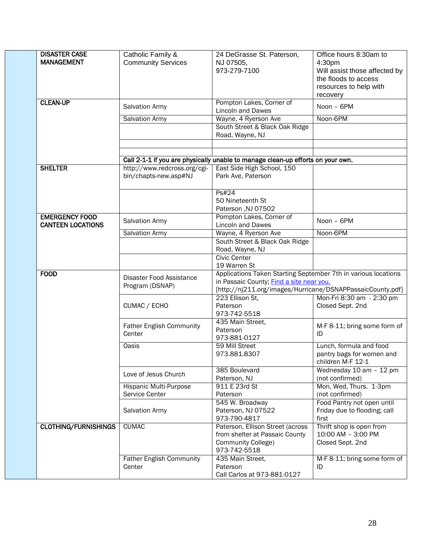| <b>DISASTER CASE</b><br><b>MANAGEMENT</b>         | Catholic Family &<br><b>Community Services</b>        | 24 DeGrasse St. Paterson,<br>NJ 07505,<br>973-279-7100                          | Office hours 8:30am to<br>4:30pm<br>Will assist those affected by<br>the floods to access<br>resources to help with<br>recovery |  |
|---------------------------------------------------|-------------------------------------------------------|---------------------------------------------------------------------------------|---------------------------------------------------------------------------------------------------------------------------------|--|
| <b>CLEAN-UP</b>                                   | <b>Salvation Army</b>                                 | Pompton Lakes, Corner of<br><b>Lincoln and Dawes</b>                            | Noon - 6PM                                                                                                                      |  |
|                                                   | <b>Salvation Army</b>                                 | Wayne, 4 Ryerson Ave                                                            | Noon-6PM                                                                                                                        |  |
|                                                   |                                                       | South Street & Black Oak Ridge<br>Road, Wayne, NJ                               |                                                                                                                                 |  |
|                                                   |                                                       |                                                                                 |                                                                                                                                 |  |
|                                                   |                                                       |                                                                                 |                                                                                                                                 |  |
| <b>SHELTER</b>                                    |                                                       | Call 2-1-1 if you are physically unable to manage clean-up efforts on your own. |                                                                                                                                 |  |
|                                                   | http://www.redcross.org/cgi-<br>bin/chapts-new.asp#NJ | East Side High School, 150<br>Park Ave, Paterson                                |                                                                                                                                 |  |
|                                                   |                                                       | P <sub>S</sub> #24<br>50 Nineteenth St<br>Paterson, NJ 07502                    |                                                                                                                                 |  |
| <b>EMERGENCY FOOD</b><br><b>CANTEEN LOCATIONS</b> | <b>Salvation Army</b>                                 | Pompton Lakes, Corner of<br><b>Lincoln and Dawes</b>                            | Noon - 6PM                                                                                                                      |  |
|                                                   | <b>Salvation Army</b>                                 | Wayne, 4 Ryerson Ave                                                            | Noon-6PM                                                                                                                        |  |
|                                                   |                                                       | South Street & Black Oak Ridge                                                  |                                                                                                                                 |  |
|                                                   |                                                       | Road, Wayne, NJ                                                                 |                                                                                                                                 |  |
|                                                   |                                                       | <b>Civic Center</b><br>19 Warren St                                             |                                                                                                                                 |  |
| <b>FOOD</b>                                       |                                                       | Applications Taken Starting September 7th in various locations                  |                                                                                                                                 |  |
|                                                   | Disaster Food Assistance                              | in Passaic County; Find a site near you.                                        |                                                                                                                                 |  |
|                                                   | Program (DSNAP)                                       | [http://nj211.org/images/Hurricane/DSNAPPassaicCounty.pdf]                      |                                                                                                                                 |  |
|                                                   |                                                       | 223 Ellison St,                                                                 | Mon-Fri 8:30 am - 2:30 pm                                                                                                       |  |
|                                                   | CUMAC / ECHO                                          | Paterson<br>973-742-5518                                                        | Closed Sept. 2nd                                                                                                                |  |
|                                                   | <b>Father English Community</b><br>Center             | 435 Main Street,<br>Paterson<br>973-881-0127                                    | M-F 8-11; bring some form of<br>ID                                                                                              |  |
|                                                   | <b>Oasis</b>                                          | 59 Mill Street                                                                  | Lunch, formula and food                                                                                                         |  |
|                                                   |                                                       | 973.881.8307                                                                    | pantry bags for women and<br>children M-F 12-1                                                                                  |  |
|                                                   | Love of Jesus Church                                  | 385 Boulevard<br>Paterson, NJ                                                   | Wednesday 10 am - 12 pm<br>(not confirmed)                                                                                      |  |
|                                                   | Hispanic Multi-Purpose                                | 911 E 23rd St                                                                   | Mon, Wed, Thurs. 1-3pm                                                                                                          |  |
|                                                   | Service Center                                        | Paterson                                                                        | (not confirmed)                                                                                                                 |  |
|                                                   |                                                       | 545 W. Broadway                                                                 | Food Pantry not open until                                                                                                      |  |
|                                                   | <b>Salvation Army</b>                                 | Paterson, NJ 07522<br>973-790-4817                                              | Friday due to flooding; call<br>first                                                                                           |  |
| <b>CLOTHING/FURNISHINGS</b>                       | <b>CUMAC</b>                                          | Paterson, Ellison Street (across<br>from shelter at Passaic County              | Thrift shop is open from<br>10:00 AM - 3:00 PM                                                                                  |  |
|                                                   |                                                       | Community College)<br>973-742-5518                                              | Closed Sept. 2nd                                                                                                                |  |
|                                                   | <b>Father English Community</b>                       | 435 Main Street,                                                                | M-F 8-11; bring some form of                                                                                                    |  |
|                                                   | Center                                                | Paterson<br>Call Carlos at 973-881-0127                                         | ID                                                                                                                              |  |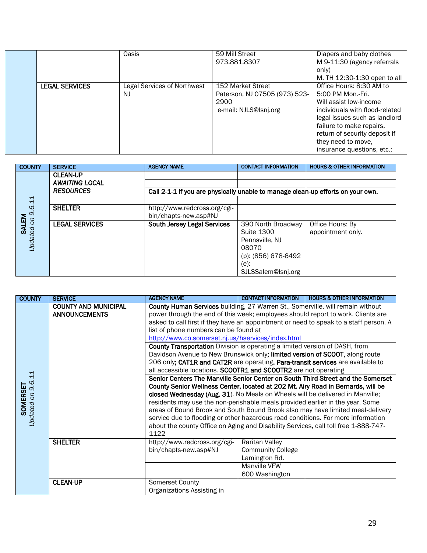|                       | Oasis                                    | 59 Mill Street<br>973.881.8307                                                      | Diapers and baby clothes<br>M 9-11:30 (agency referrals<br>only)<br>M, TH 12:30-1:30 open to all                                                                                                                                                            |
|-----------------------|------------------------------------------|-------------------------------------------------------------------------------------|-------------------------------------------------------------------------------------------------------------------------------------------------------------------------------------------------------------------------------------------------------------|
| <b>LEGAL SERVICES</b> | <b>Legal Services of Northwest</b><br>NJ | 152 Market Street<br>Paterson, NJ 07505 (973) 523-<br>2900<br>e-mail: NJLS@Isni.org | Office Hours: 8:30 AM to<br>5:00 PM Mon.-Fri.<br>Will assist low-income<br>individuals with flood-related<br>legal issues such as landlord<br>failure to make repairs,<br>return of security deposit if<br>they need to move,<br>insurance questions, etc.; |

| <b>COUNTY</b>                 | <b>SERVICE</b>                           | <b>AGENCY NAME</b>                                                              | <b>CONTACT INFORMATION</b>                                                                                       | <b>HOURS &amp; OTHER INFORMATION</b>  |
|-------------------------------|------------------------------------------|---------------------------------------------------------------------------------|------------------------------------------------------------------------------------------------------------------|---------------------------------------|
|                               | <b>CLEAN-UP</b><br><b>AWAITING LOCAL</b> |                                                                                 |                                                                                                                  |                                       |
|                               | <b>RESOURCES</b>                         | Call 2-1-1 if you are physically unable to manage clean-up efforts on your own. |                                                                                                                  |                                       |
|                               |                                          |                                                                                 |                                                                                                                  |                                       |
| <b>SALEM</b><br>ted on 9.6.11 | <b>SHELTER</b>                           | http://www.redcross.org/cgi-<br>bin/chapts-new.asp#NJ                           |                                                                                                                  |                                       |
| Jpdated                       | <b>LEGAL SERVICES</b>                    | South Jersey Legal Services                                                     | 390 North Broadway<br>Suite 1300<br>Pennsville, NJ<br>08070<br>(p): (856) 678-6492<br>(e):<br>SJLSSalem@Isnj.org | Office Hours: By<br>appointment only. |

| <b>COUNTY</b>                     | <b>SERVICE</b>                                                                                                                                                                                                                                                                                                                                                                                                                                                                                                                                                                                                                                                                                                                                                                                                                                                                                                                                                                                                                                                                                                                                                                                                                                                                                                                                              | <b>AGENCY NAME</b>                                    | <b>CONTACT INFORMATION</b>                                                                    | <b>HOURS &amp; OTHER INFORMATION</b> |
|-----------------------------------|-------------------------------------------------------------------------------------------------------------------------------------------------------------------------------------------------------------------------------------------------------------------------------------------------------------------------------------------------------------------------------------------------------------------------------------------------------------------------------------------------------------------------------------------------------------------------------------------------------------------------------------------------------------------------------------------------------------------------------------------------------------------------------------------------------------------------------------------------------------------------------------------------------------------------------------------------------------------------------------------------------------------------------------------------------------------------------------------------------------------------------------------------------------------------------------------------------------------------------------------------------------------------------------------------------------------------------------------------------------|-------------------------------------------------------|-----------------------------------------------------------------------------------------------|--------------------------------------|
| 11<br>Updated on 9.6.<br>SOMERSET | <b>COUNTY AND MUNICIPAL</b><br>County Human Services building, 27 Warren St., Somerville, will remain without<br>power through the end of this week; employees should report to work. Clients are<br><b>ANNOUNCEMENTS</b><br>asked to call first if they have an appointment or need to speak to a staff person. A<br>list of phone numbers can be found at<br>http://www.co.somerset.nj.us/hservices/index.html<br><b>County Transportation</b> Division is operating a limited version of DASH, from<br>Davidson Avenue to New Brunswick only; limited version of SCOOT, along route<br>206 only; CAT1R and CAT2R are operating. Para-transit services are available to<br>all accessible locations. SCOOTR1 and SCOOTR2 are not operating<br>Senior Centers The Manville Senior Center on South Third Street and the Somerset<br>County Senior Wellness Center, located at 202 Mt. Airy Road in Bernards, will be<br>closed Wednesday (Aug. 31). No Meals on Wheels will be delivered in Manville;<br>residents may use the non-perishable meals provided earlier in the year. Some<br>areas of Bound Brook and South Bound Brook also may have limited meal-delivery<br>service due to flooding or other hazardous road conditions. For more information<br>about the county Office on Aging and Disability Services, call toll free 1-888-747-<br>1122 |                                                       |                                                                                               |                                      |
|                                   | <b>SHELTER</b>                                                                                                                                                                                                                                                                                                                                                                                                                                                                                                                                                                                                                                                                                                                                                                                                                                                                                                                                                                                                                                                                                                                                                                                                                                                                                                                                              | http://www.redcross.org/cgi-<br>bin/chapts-new.asp#NJ | Raritan Valley<br><b>Community College</b><br>Lamington Rd.<br>Manville VFW<br>600 Washington |                                      |
|                                   | <b>CLEAN-UP</b>                                                                                                                                                                                                                                                                                                                                                                                                                                                                                                                                                                                                                                                                                                                                                                                                                                                                                                                                                                                                                                                                                                                                                                                                                                                                                                                                             | <b>Somerset County</b><br>Organizations Assisting in  |                                                                                               |                                      |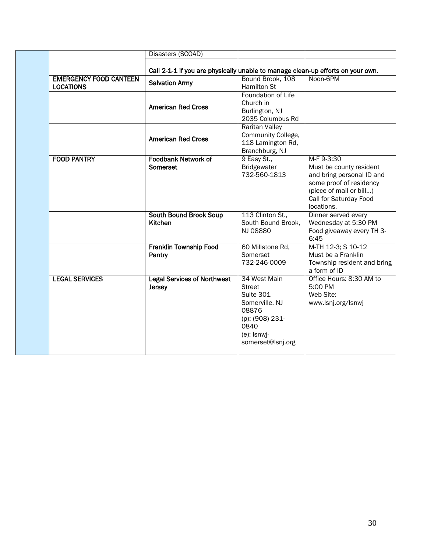|                                                   | Disasters (SCOAD)                                                               |                                                                                                                                      |                                                                                                                                                                  |
|---------------------------------------------------|---------------------------------------------------------------------------------|--------------------------------------------------------------------------------------------------------------------------------------|------------------------------------------------------------------------------------------------------------------------------------------------------------------|
|                                                   |                                                                                 |                                                                                                                                      |                                                                                                                                                                  |
|                                                   | Call 2-1-1 if you are physically unable to manage clean-up efforts on your own. |                                                                                                                                      |                                                                                                                                                                  |
| <b>EMERGENCY FOOD CANTEEN</b><br><b>LOCATIONS</b> | <b>Salvation Army</b>                                                           | Bound Brook, 108<br><b>Hamilton St</b>                                                                                               | Noon-6PM                                                                                                                                                         |
|                                                   | <b>American Red Cross</b>                                                       | Foundation of Life<br>Church in<br>Burlington, NJ<br>2035 Columbus Rd                                                                |                                                                                                                                                                  |
|                                                   | <b>American Red Cross</b>                                                       | Raritan Valley<br>Community College,<br>118 Lamington Rd,<br>Branchburg, NJ                                                          |                                                                                                                                                                  |
| <b>FOOD PANTRY</b>                                | <b>Foodbank Network of</b><br>Somerset                                          | 9 Easy St.,<br>Bridgewater<br>732-560-1813                                                                                           | M-F 9-3:30<br>Must be county resident<br>and bring personal ID and<br>some proof of residency<br>(piece of mail or bill)<br>Call for Saturday Food<br>locations. |
|                                                   | <b>South Bound Brook Soup</b><br>Kitchen                                        | 113 Clinton St.,<br>South Bound Brook,<br>NJ 08880                                                                                   | Dinner served every<br>Wednesday at 5:30 PM<br>Food giveaway every TH 3-<br>6:45                                                                                 |
|                                                   | <b>Franklin Township Food</b><br>Pantry                                         | 60 Millstone Rd,<br>Somerset<br>732-246-0009                                                                                         | M-TH 12-3; S 10-12<br>Must be a Franklin<br>Township resident and bring<br>a form of ID                                                                          |
| <b>LEGAL SERVICES</b>                             | <b>Legal Services of Northwest</b><br>Jersey                                    | 34 West Main<br><b>Street</b><br>Suite 301<br>Somerville, NJ<br>08876<br>(p): (908) 231-<br>0840<br>(e): Isnwj-<br>somerset@lsnj.org | Office Hours: 8:30 AM to<br>5:00 PM<br>Web Site:<br>www.lsnj.org/lsnwj                                                                                           |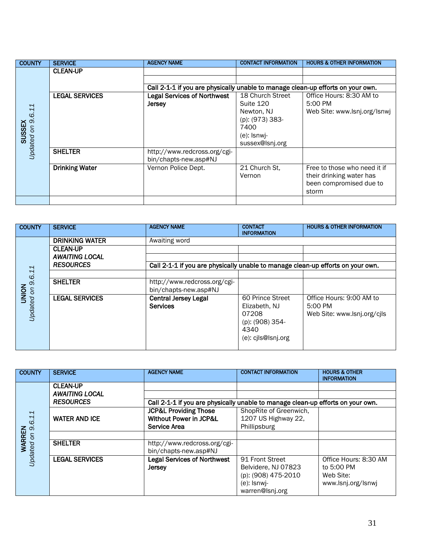| <b>COUNTY</b>     | <b>SERVICE</b>        | <b>AGENCY NAME</b>                                                              | <b>CONTACT INFORMATION</b> | <b>HOURS &amp; OTHER INFORMATION</b> |
|-------------------|-----------------------|---------------------------------------------------------------------------------|----------------------------|--------------------------------------|
|                   | <b>CLEAN-UP</b>       |                                                                                 |                            |                                      |
|                   |                       |                                                                                 |                            |                                      |
|                   |                       | Call 2-1-1 if you are physically unable to manage clean-up efforts on your own. |                            |                                      |
|                   | <b>LEGAL SERVICES</b> | <b>Legal Services of Northwest</b>                                              | 18 Church Street           | Office Hours: 8:30 AM to             |
|                   |                       | <b>Jersey</b>                                                                   | Suite 120                  | 5:00 PM                              |
|                   |                       |                                                                                 | Newton, NJ                 | Web Site: www.lsnj.org/lsnwj         |
|                   |                       |                                                                                 | (p): (973) 383-            |                                      |
|                   |                       |                                                                                 | 7400                       |                                      |
| <b>SUSSEX</b>     |                       |                                                                                 | $(e)$ : Isnwi-             |                                      |
|                   |                       |                                                                                 | sussex@lsnj.org            |                                      |
| Updated on 9.6.11 | <b>SHELTER</b>        | http://www.redcross.org/cgi-                                                    |                            |                                      |
|                   |                       | bin/chapts-new.asp#NJ                                                           |                            |                                      |
|                   | <b>Drinking Water</b> | Vernon Police Dept.                                                             | 21 Church St.              | Free to those who need it if         |
|                   |                       |                                                                                 | Vernon                     | their drinking water has             |
|                   |                       |                                                                                 |                            | been compromised due to              |
|                   |                       |                                                                                 |                            | storm                                |
|                   |                       |                                                                                 |                            |                                      |

| <b>COUNTY</b>                     | <b>SERVICE</b>        | <b>AGENCY NAME</b>           | <b>CONTACT</b><br><b>INFORMATION</b>                                            | <b>HOURS &amp; OTHER INFORMATION</b> |  |  |  |
|-----------------------------------|-----------------------|------------------------------|---------------------------------------------------------------------------------|--------------------------------------|--|--|--|
|                                   | <b>DRINKING WATER</b> | Awaiting word                |                                                                                 |                                      |  |  |  |
|                                   | <b>CLEAN-UP</b>       |                              |                                                                                 |                                      |  |  |  |
|                                   | <b>AWAITING LOCAL</b> |                              |                                                                                 |                                      |  |  |  |
|                                   | <b>RESOURCES</b>      |                              | Call 2-1-1 if you are physically unable to manage clean-up efforts on your own. |                                      |  |  |  |
| 9.6.11                            |                       |                              |                                                                                 |                                      |  |  |  |
|                                   | <b>SHELTER</b>        | http://www.redcross.org/cgi- |                                                                                 |                                      |  |  |  |
|                                   |                       | bin/chapts-new.asp#NJ        |                                                                                 |                                      |  |  |  |
| <b>NOIND</b><br><b>Jpdated on</b> | <b>LEGAL SERVICES</b> | <b>Central Jersey Legal</b>  | 60 Prince Street                                                                | Office Hours: 9:00 AM to             |  |  |  |
|                                   |                       | <b>Services</b>              | Elizabeth, NJ                                                                   | 5:00 PM                              |  |  |  |
|                                   |                       |                              | 07208                                                                           | Web Site: www.lsnj.org/cils          |  |  |  |
|                                   |                       |                              | (p): (908) 354-                                                                 |                                      |  |  |  |
|                                   |                       |                              | 4340                                                                            |                                      |  |  |  |
|                                   |                       |                              | (e): cjls@lsnj.org                                                              |                                      |  |  |  |
|                                   |                       |                              |                                                                                 |                                      |  |  |  |

| <b>COUNTY</b>        | <b>SERVICE</b>        | <b>AGENCY NAME</b>                                                              | <b>CONTACT INFORMATION</b> | <b>HOURS &amp; OTHER</b><br><b>INFORMATION</b> |
|----------------------|-----------------------|---------------------------------------------------------------------------------|----------------------------|------------------------------------------------|
|                      | <b>CLEAN-UP</b>       |                                                                                 |                            |                                                |
|                      | <b>AWAITING LOCAL</b> |                                                                                 |                            |                                                |
|                      | <b>RESOURCES</b>      | Call 2-1-1 if you are physically unable to manage clean-up efforts on your own. |                            |                                                |
|                      |                       | <b>JCP&amp;L Providing Those</b>                                                | ShopRite of Greenwich,     |                                                |
|                      | <b>WATER AND ICE</b>  | <b>Without Power in JCP&amp;L</b>                                               | 1207 US Highway 22,        |                                                |
| 9.6.11               |                       | Service Area                                                                    | Phillipsburg               |                                                |
|                      |                       |                                                                                 |                            |                                                |
| WARREN<br>Jpdated on | <b>SHELTER</b>        | http://www.redcross.org/cgi-                                                    |                            |                                                |
|                      |                       | bin/chapts-new.asp#NJ                                                           |                            |                                                |
|                      | <b>LEGAL SERVICES</b> | <b>Legal Services of Northwest</b>                                              | 91 Front Street            | Office Hours: 8:30 AM                          |
|                      |                       | <b>Jersey</b>                                                                   | Belvidere, NJ 07823        | to 5:00 PM                                     |
|                      |                       |                                                                                 | (p): (908) 475-2010        | Web Site:                                      |
|                      |                       |                                                                                 | (e): Isnwi-                | www.lsnj.org/lsnwj                             |
|                      |                       |                                                                                 | warren@lsnj.org            |                                                |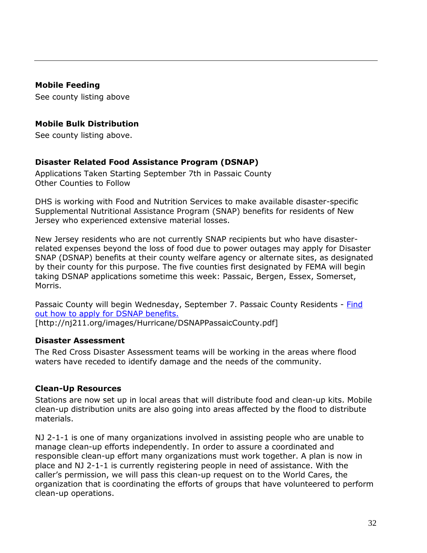#### <span id="page-31-0"></span>**Mobile Feeding**

See county listing above

## <span id="page-31-1"></span>**Mobile Bulk Distribution**

See county listing above.

## <span id="page-31-2"></span>**Disaster Related Food Assistance Program (DSNAP)**

Applications Taken Starting September 7th in Passaic County Other Counties to Follow

DHS is working with Food and Nutrition Services to make available disaster-specific Supplemental Nutritional Assistance Program (SNAP) benefits for residents of New Jersey who experienced extensive material losses.

New Jersey residents who are not currently SNAP recipients but who have disasterrelated expenses beyond the loss of food due to power outages may apply for Disaster SNAP (DSNAP) benefits at their county welfare agency or alternate sites, as designated by their county for this purpose. The five counties first designated by FEMA will begin taking DSNAP applications sometime this week: Passaic, Bergen, Essex, Somerset, Morris.

Passaic County will begin Wednesday, September 7. Passaic County Residents - [Find](http://nj211.org/images/Hurricane/DSNAPPassaicCounty.pdf)  [out how to apply for DSNAP benefits.](http://nj211.org/images/Hurricane/DSNAPPassaicCounty.pdf) [http://nj211.org/images/Hurricane/DSNAPPassaicCounty.pdf]

#### <span id="page-31-3"></span>**Disaster Assessment**

The Red Cross Disaster Assessment teams will be working in the areas where flood waters have receded to identify damage and the needs of the community.

## <span id="page-31-4"></span>**Clean-Up Resources**

Stations are now set up in local areas that will distribute food and clean-up kits. Mobile clean-up distribution units are also going into areas affected by the flood to distribute materials.

NJ 2-1-1 is one of many organizations involved in assisting people who are unable to manage clean-up efforts independently. In order to assure a coordinated and responsible clean-up effort many organizations must work together. A plan is now in place and NJ 2-1-1 is currently registering people in need of assistance. With the caller's permission, we will pass this clean-up request on to the World Cares, the organization that is coordinating the efforts of groups that have volunteered to perform clean-up operations.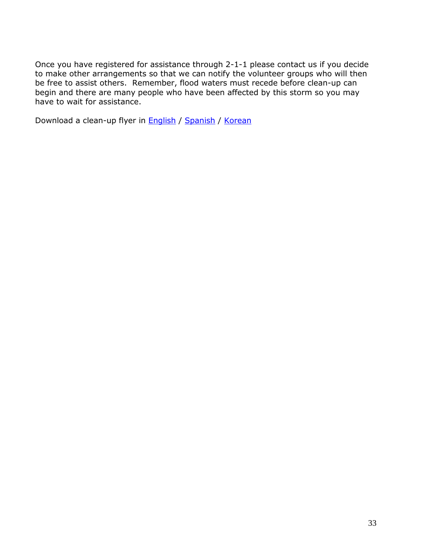Once you have registered for assistance through 2-1-1 please contact us if you decide to make other arrangements so that we can notify the volunteer groups who will then be free to assist others. Remember, flood waters must recede before clean-up can begin and there are many people who have been affected by this storm so you may have to wait for assistance.

Download a clean-up flyer in **English / [Spanish](http://nj211.org/images/Hurricane/211CleanUpFlyerSpanish.pdf) / [Korean](http://nj211.org/images/Hurricane/211CleanUpFlyerKorean.pdf)**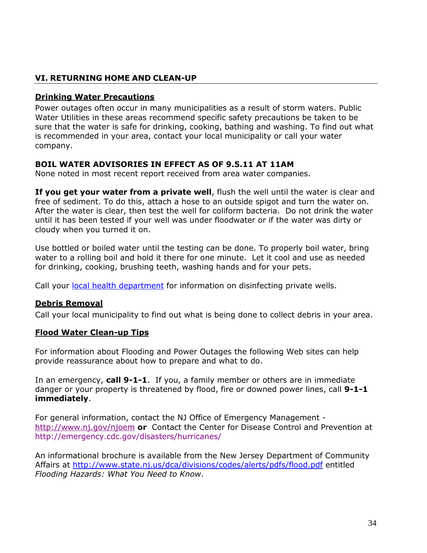# <span id="page-33-0"></span>**VI. RETURNING HOME AND CLEAN-UP**

## <span id="page-33-1"></span>**Drinking Water Precautions**

Power outages often occur in many municipalities as a result of storm waters. Public Water Utilities in these areas recommend specific safety precautions be taken to be sure that the water is safe for drinking, cooking, bathing and washing. To find out what is recommended in your area, contact your local municipality or call your water company.

## **BOIL WATER ADVISORIES IN EFFECT AS OF 9.5.11 AT 11AM**

None noted in most recent report received from area water companies.

If you get your water from a private well, flush the well until the water is clear and free of sediment. To do this, attach a hose to an outside spigot and turn the water on. After the water is clear, then test the well for coliform bacteria. Do not drink the water until it has been tested if your well was under floodwater or if the water was dirty or cloudy when you turned it on.

Use bottled or boiled water until the testing can be done. To properly boil water, bring water to a rolling boil and hold it there for one minute. Let it cool and use as needed for drinking, cooking, brushing teeth, washing hands and for your pets.

Call your [local health department](http://www.state.nj.us/health/lh/directory/lhdselectcounty.shtml) for information on disinfecting private wells.

## <span id="page-33-2"></span>**Debris Removal**

Call your local municipality to find out what is being done to collect debris in your area.

## <span id="page-33-3"></span>**Flood Water Clean-up Tips**

For information about Flooding and Power Outages the following Web sites can help provide reassurance about how to prepare and what to do.

In an emergency, **call 9-1-1**. If you, a family member or others are in immediate danger or your property is threatened by flood, fire or downed power lines, call **9-1-1 immediately**.

For general information, contact the NJ Office of Emergency Management <http://www.nj.gov/njoem> **or** Contact the Center for Disease Control and Prevention at http://emergency.cdc.gov/disasters/hurricanes/

An informational brochure is available from the New Jersey Department of Community Affairs at <http://www.state.nj.us/dca/divisions/codes/alerts/pdfs/flood.pdf> entitled *Flooding Hazards: What You Need to Know*.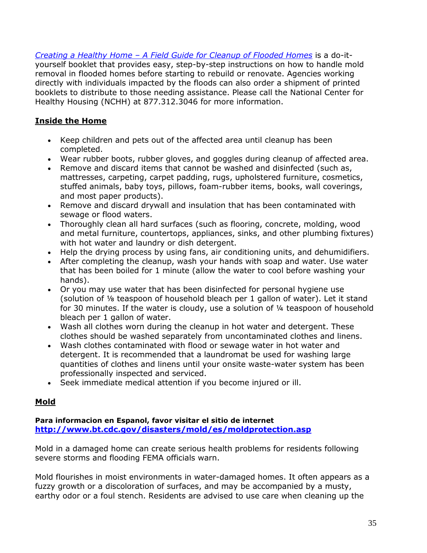*Creating a Healthy Home – [A Field Guide for Cleanup of Flooded Homes](http://nchh.org/LinkClick.aspx?fileticket=ANhnOoaHSfY%3d&tabid=311)* is a do-ityourself booklet that provides easy, step-by-step instructions on how to handle mold removal in flooded homes before starting to rebuild or renovate. Agencies working directly with individuals impacted by the floods can also order a shipment of printed booklets to distribute to those needing assistance. Please call the National Center for Healthy Housing (NCHH) at 877.312.3046 for more information.

# <span id="page-34-0"></span>**Inside the Home**

- Keep children and pets out of the affected area until cleanup has been completed.
- Wear rubber boots, rubber gloves, and goggles during cleanup of affected area.
- Remove and discard items that cannot be washed and disinfected (such as, mattresses, carpeting, carpet padding, rugs, upholstered furniture, cosmetics, stuffed animals, baby toys, pillows, foam-rubber items, books, wall coverings, and most paper products).
- Remove and discard drywall and insulation that has been contaminated with sewage or flood waters.
- Thoroughly clean all hard surfaces (such as flooring, concrete, molding, wood and metal furniture, countertops, appliances, sinks, and other plumbing fixtures) with hot water and laundry or dish detergent.
- Help the drying process by using fans, air conditioning units, and dehumidifiers.
- After completing the cleanup, wash your hands with soap and water. Use water that has been boiled for 1 minute (allow the water to cool before washing your hands).
- Or you may use water that has been disinfected for personal hygiene use (solution of ⅛ teaspoon of household bleach per 1 gallon of water). Let it stand for 30 minutes. If the water is cloudy, use a solution of ¼ teaspoon of household bleach per 1 gallon of water.
- Wash all clothes worn during the cleanup in hot water and detergent. These clothes should be washed separately from uncontaminated clothes and linens.
- Wash clothes contaminated with flood or sewage water in hot water and detergent. It is recommended that a laundromat be used for washing large quantities of clothes and linens until your onsite waste-water system has been professionally inspected and serviced.
- Seek immediate medical attention if you become injured or ill.

# <span id="page-34-1"></span>**Mold**

## **Para informacion en Espanol, favor visitar el sitio de internet <http://www.bt.cdc.gov/disasters/mold/es/moldprotection.asp>**

Mold in a damaged home can create serious health problems for residents following severe storms and flooding FEMA officials warn.

Mold flourishes in moist environments in water-damaged homes. It often appears as a fuzzy growth or a discoloration of surfaces, and may be accompanied by a musty, earthy odor or a foul stench. Residents are advised to use care when cleaning up the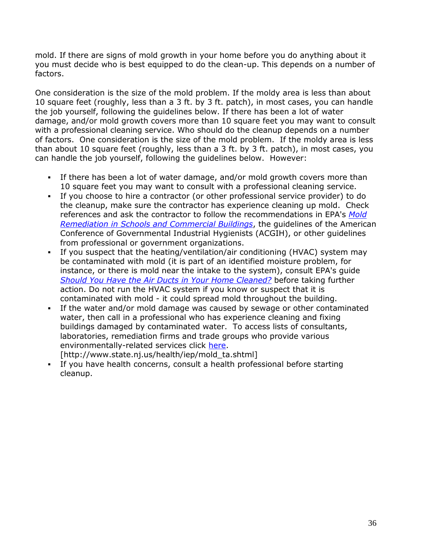mold. If there are signs of mold growth in your home before you do anything about it you must decide who is best equipped to do the clean-up. This depends on a number of factors.

One consideration is the size of the mold problem. If the moldy area is less than about 10 square feet (roughly, less than a 3 ft. by 3 ft. patch), in most cases, you can handle the job yourself, following the guidelines below. If there has been a lot of water damage, and/or mold growth covers more than 10 square feet you may want to consult with a professional cleaning service. Who should do the cleanup depends on a number of factors. One consideration is the size of the mold problem. If the moldy area is less than about 10 square feet (roughly, less than a 3 ft. by 3 ft. patch), in most cases, you can handle the job yourself, following the guidelines below. However:

- If there has been a lot of water damage, and/or mold growth covers more than 10 square feet you may want to consult with a professional cleaning service.
- If you choose to hire a contractor (or other professional service provider) to do the cleanup, make sure the contractor has experience cleaning up mold. Check references and ask the contractor to follow the recommendations in EPA's *[Mold](http://www.epa.gov/mold/mold_remediation.html)  [Remediation in Schools and Commercial Buildings](http://www.epa.gov/mold/mold_remediation.html)*, the guidelines of the American Conference of Governmental Industrial Hygienists (ACGIH), or other guidelines from professional or government organizations.
- If you suspect that the heating/ventilation/air conditioning (HVAC) system may be contaminated with mold (it is part of an identified moisture problem, for instance, or there is mold near the intake to the system), consult EPA's guide *[Should You Have the Air Ducts in Your Home Cleaned?](http://www.epa.gov/iaq/pubs/airduct.html)* before taking further action. Do not run the HVAC system if you know or suspect that it is contaminated with mold - it could spread mold throughout the building.
- If the water and/or mold damage was caused by sewage or other contaminated water, then call in a professional who has experience cleaning and fixing buildings damaged by contaminated water. To access lists of consultants, laboratories, remediation firms and trade groups who provide various environmentally-related services click [here.](http://www.state.nj.us/health/iep/mold_ta.shtml)
	- [http://www.state.nj.us/health/iep/mold\_ta.shtml]
- If you have health concerns, consult a health professional before starting cleanup.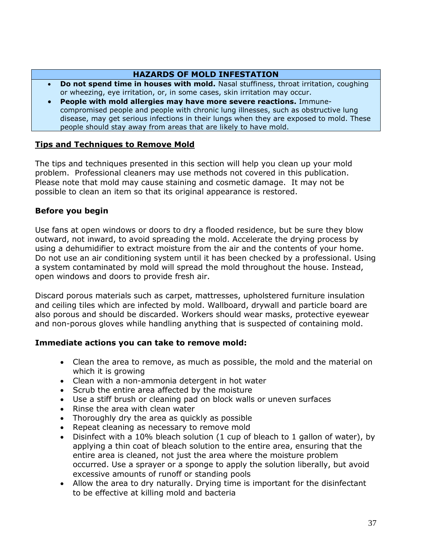#### **HAZARDS OF MOLD INFESTATION**

- **Do not spend time in houses with mold.** Nasal stuffiness, throat irritation, coughing or wheezing, eye irritation, or, in some cases, skin irritation may occur.
- **People with mold allergies may have more severe reactions.** Immunecompromised people and people with chronic lung illnesses, such as obstructive lung disease, may get serious infections in their lungs when they are exposed to mold. These people should stay away from areas that are likely to have mold.

#### <span id="page-36-0"></span>**Tips and Techniques to Remove Mold**

The tips and techniques presented in this section will help you clean up your mold problem. Professional cleaners may use methods not covered in this publication. Please note that mold may cause staining and cosmetic damage. It may not be possible to clean an item so that its original appearance is restored.

## **Before you begin**

Use fans at open windows or doors to dry a flooded residence, but be sure they blow outward, not inward, to avoid spreading the mold. Accelerate the drying process by using a dehumidifier to extract moisture from the air and the contents of your home. Do not use an air conditioning system until it has been checked by a professional. Using a system contaminated by mold will spread the mold throughout the house. Instead, open windows and doors to provide fresh air.

Discard porous materials such as carpet, mattresses, upholstered furniture insulation and ceiling tiles which are infected by mold. Wallboard, drywall and particle board are also porous and should be discarded. Workers should wear masks, protective eyewear and non-porous gloves while handling anything that is suspected of containing mold.

## **Immediate actions you can take to remove mold:**

- Clean the area to remove, as much as possible, the mold and the material on which it is growing
- Clean with a non-ammonia detergent in hot water
- Scrub the entire area affected by the moisture
- Use a stiff brush or cleaning pad on block walls or uneven surfaces
- Rinse the area with clean water
- Thoroughly dry the area as quickly as possible
- Repeat cleaning as necessary to remove mold
- Disinfect with a 10% bleach solution (1 cup of bleach to 1 gallon of water), by applying a thin coat of bleach solution to the entire area, ensuring that the entire area is cleaned, not just the area where the moisture problem occurred. Use a sprayer or a sponge to apply the solution liberally, but avoid excessive amounts of runoff or standing pools
- Allow the area to dry naturally. Drying time is important for the disinfectant to be effective at killing mold and bacteria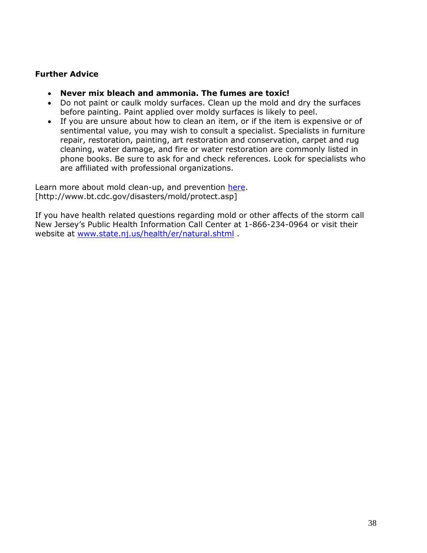## **Further Advice**

- **Never mix bleach and ammonia. The fumes are toxic!**
- Do not paint or caulk moldy surfaces. Clean up the mold and dry the surfaces before painting. Paint applied over moldy surfaces is likely to peel.
- If you are unsure about how to clean an item, or if the item is expensive or of sentimental value, you may wish to consult a specialist. Specialists in furniture repair, restoration, painting, art restoration and conservation, carpet and rug cleaning, water damage, and fire or water restoration are commonly listed in phone books. Be sure to ask for and check references. Look for specialists who are affiliated with professional organizations.

Learn more about mold clean-up, and prevention [here.](http://www.bt.cdc.gov/disasters/mold/protect.asp) [http://www.bt.cdc.gov/disasters/mold/protect.asp]

If you have health related questions regarding mold or other affects of the storm call New Jersey's Public Health Information Call Center at 1-866-234-0964 or visit their website at [www.state.nj.us/health/er/natural.shtml](http://www.state.nj.us/health/er/natural.shtml) .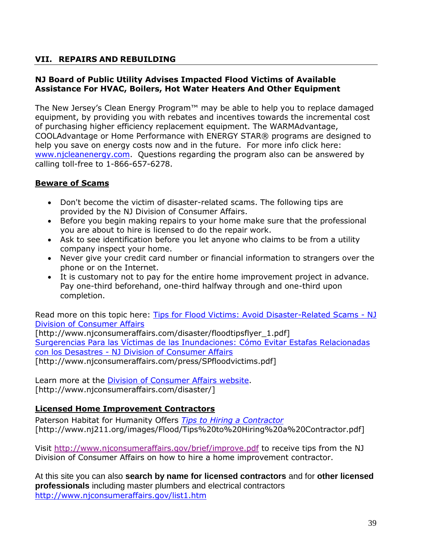# <span id="page-38-0"></span>**VII. REPAIRS AND REBUILDING**

## **NJ Board of Public Utility Advises Impacted Flood Victims of Available Assistance For HVAC, Boilers, Hot Water Heaters And Other Equipment**

The New Jersey's Clean Energy Program™ may be able to help you to replace damaged equipment, by providing you with rebates and incentives towards the incremental cost of purchasing higher efficiency replacement equipment. The WARMAdvantage, COOLAdvantage or Home Performance with ENERGY STAR® programs are designed to help you save on energy costs now and in the future. For more info click here: [www.njcleanenergy.com.](http://www.njcleanenergy.com/) Questions regarding the program also can be answered by calling toll-free to 1-866-657-6278.

## <span id="page-38-1"></span>**Beware of Scams**

- Don't become the victim of disaster-related scams. The following tips are provided by the NJ Division of Consumer Affairs.
- Before you begin making repairs to your home make sure that the professional you are about to hire is licensed to do the repair work.
- Ask to see identification before you let anyone who claims to be from a utility company inspect your home.
- Never give your credit card number or financial information to strangers over the phone or on the Internet.
- It is customary not to pay for the entire home improvement project in advance. Pay one-third beforehand, one-third halfway through and one-third upon completion.

Read more on this topic here: [Tips for Flood Victims: Avoid Disaster-Related Scams -](http://www.njconsumeraffairs.com/disaster/floodtipsflyer_1.pdf) NJ [Division of Consumer Affairs](http://www.njconsumeraffairs.com/disaster/floodtipsflyer_1.pdf)

[http://www.njconsumeraffairs.com/disaster/floodtipsflyer\_1.pdf] [Surgerencias Para las Víctimas de las Inundaciones: Cómo Evitar Estafas Relacionadas](http://www.njconsumeraffairs.com/press/SPfloodvictims.pdf)  con los Desastres - [NJ Division of Consumer Affairs](http://www.njconsumeraffairs.com/press/SPfloodvictims.pdf) [http://www.njconsumeraffairs.com/press/SPfloodvictims.pdf]

Learn more at the [Division of Consumer Affairs website.](http://www.njconsumeraffairs.com/disaster/) [http://www.njconsumeraffairs.com/disaster/]

# <span id="page-38-2"></span>**Licensed Home Improvement Contractors**

Paterson Habitat for Humanity Offers *[Tips to Hiring a Contractor](http://www.nj211.org/images/Flood/Tips%20to%20Hiring%20a%20Contractor.pdf)* [http://www.nj211.org/images/Flood/Tips%20to%20Hiring%20a%20Contractor.pdf]

Visit<http://www.njconsumeraffairs.gov/brief/improve.pdf> to receive tips from the NJ Division of Consumer Affairs on how to hire a home improvement contractor.

At this site you can also **search by name for licensed contractors** and for **other licensed professionals** including master plumbers and electrical contractors <http://www.njconsumeraffairs.gov/list1.htm>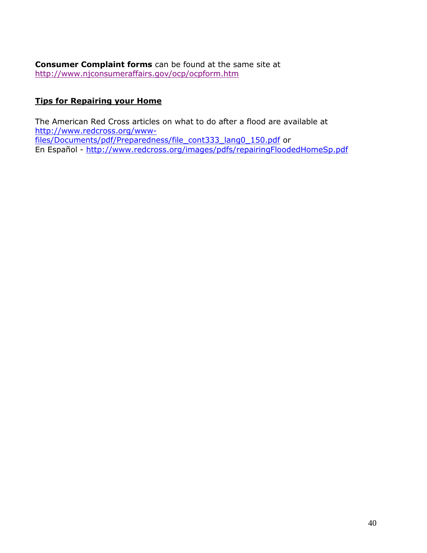**Consumer Complaint forms** can be found at the same site at <http://www.njconsumeraffairs.gov/ocp/ocpform.htm>

# <span id="page-39-0"></span>**Tips for Repairing your Home**

The American Red Cross articles on what to do after a flood are available at [http://www.redcross.org/www](http://www.redcross.org/www-files/Documents/pdf/Preparedness/file_cont333_lang0_150.pdf)[files/Documents/pdf/Preparedness/file\\_cont333\\_lang0\\_150.pdf](http://www.redcross.org/www-files/Documents/pdf/Preparedness/file_cont333_lang0_150.pdf) or En Español - <http://www.redcross.org/images/pdfs/repairingFloodedHomeSp.pdf>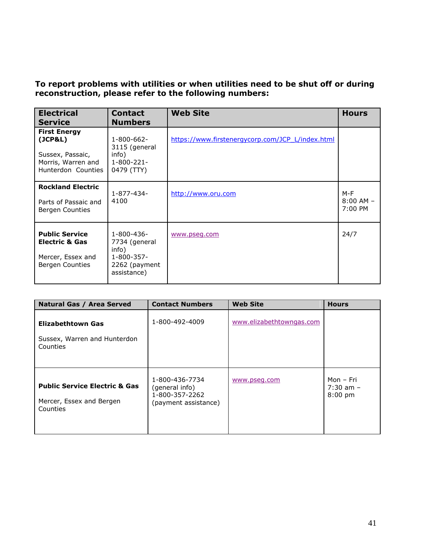## **To report problems with utilities or when utilities need to be shut off or during reconstruction, please refer to the following numbers:**

| <b>Electrical</b><br><b>Service</b>                                                            | <b>Contact</b><br><b>Numbers</b>                                                          | <b>Web Site</b>                                  | <b>Hours</b>                      |
|------------------------------------------------------------------------------------------------|-------------------------------------------------------------------------------------------|--------------------------------------------------|-----------------------------------|
| <b>First Energy</b><br>(JCP&L)<br>Sussex, Passaic,<br>Morris, Warren and<br>Hunterdon Counties | $1 - 800 - 662 -$<br>3115 (general<br>info)<br>$1 - 800 - 221 -$<br>0479 (TTY)            | https://www.firstenergycorp.com/JCP L/index.html |                                   |
| <b>Rockland Electric</b><br>Parts of Passaic and<br>Bergen Counties                            | 1-877-434-<br>4100                                                                        | http://www.oru.com                               | M-F<br>$8:00$ AM $-$<br>$7:00$ PM |
| <b>Public Service</b><br><b>Electric &amp; Gas</b><br>Mercer, Essex and<br>Bergen Counties     | $1 - 800 - 436 -$<br>7734 (general<br>info)<br>1-800-357-<br>2262 (payment<br>assistance) | www.pseg.com                                     | 24/7                              |

| <b>Natural Gas / Area Served</b>                                                 | <b>Contact Numbers</b>                                                     | <b>Web Site</b>          | <b>Hours</b>                            |
|----------------------------------------------------------------------------------|----------------------------------------------------------------------------|--------------------------|-----------------------------------------|
| <b>Elizabethtown Gas</b><br>Sussex, Warren and Hunterdon<br>Counties             | 1-800-492-4009                                                             | www.elizabethtowngas.com |                                         |
| <b>Public Service Electric &amp; Gas</b><br>Mercer, Essex and Bergen<br>Counties | 1-800-436-7734<br>(general info)<br>1-800-357-2262<br>(payment assistance) | www.pseq.com             | Mon - Fri<br>$7:30$ am $-$<br>$8:00$ pm |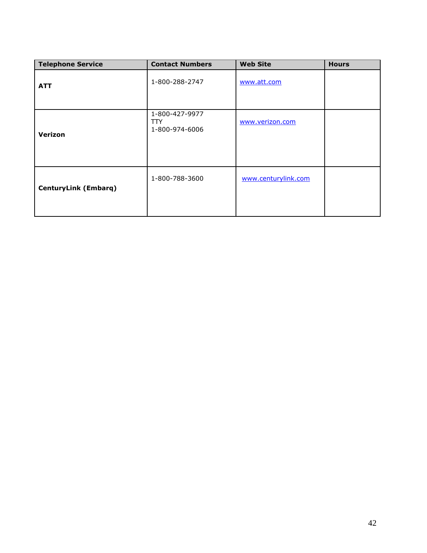| <b>Telephone Service</b>    | <b>Contact Numbers</b>                  | <b>Web Site</b>     | <b>Hours</b> |
|-----------------------------|-----------------------------------------|---------------------|--------------|
| <b>ATT</b>                  | 1-800-288-2747                          | www.att.com         |              |
| Verizon                     | 1-800-427-9977<br>TTY<br>1-800-974-6006 | www.verizon.com     |              |
| <b>CenturyLink (Embarq)</b> | 1-800-788-3600                          | www.centurylink.com |              |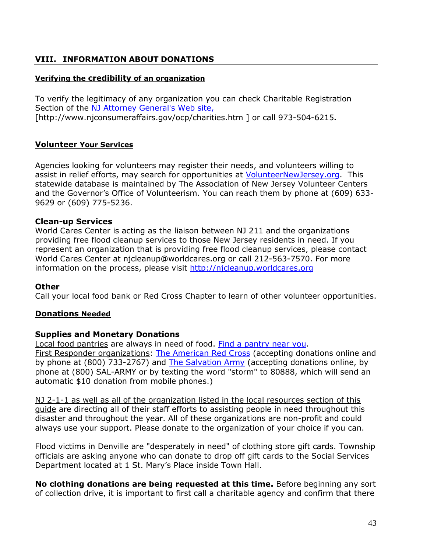# <span id="page-42-0"></span>**VIII. INFORMATION ABOUT DONATIONS**

#### <span id="page-42-1"></span>**Verifying the credibility of an organization**

To verify the legitimacy of any organization you can check Charitable Registration Section of the [NJ Attorney General's Web site,](http://www.njconsumeraffairs.gov/ocp/charities.htm) [http://www.njconsumeraffairs.gov/ocp/charities.htm ] or call 973-504-6215**.**

#### <span id="page-42-2"></span>**Volunteer Your Services**

Agencies looking for volunteers may register their needs, and volunteers willing to assist in relief efforts, may search for opportunities at [VolunteerNewJersey.org.](http://www.volunteernewjersey.org/vnj/) This statewide database is maintained by The Association of New Jersey Volunteer Centers and the Governor's Office of Volunteerism. You can reach them by phone at (609) 633- 9629 or (609) 775-5236.

#### **Clean-up Services**

World Cares Center is acting as the liaison between NJ 211 and the organizations providing free flood cleanup services to those New Jersey residents in need. If you represent an organization that is providing free flood cleanup services, please contact World Cares Center at njcleanup@worldcares.org or call 212-563-7570. For more information on the process, please visit [http://njcleanup.worldcares.org](http://njcleanup.worldcares.org/)

#### **Other**

Call your local food bank or Red Cross Chapter to learn of other volunteer opportunities.

## <span id="page-42-3"></span>**Donations Needed**

## **Supplies and Monetary Donations**

Local food pantries are always in need of food. [Find a pantry near you.](http://endhungernj.com/) First Responder organizations: [The American Red Cross](http://www.redcross.org/) (accepting donations online and by phone at (800) 733-2767) and [The Salvation Army](http://www.use.salvationarmy.org/use/www_use.nsf) (accepting donations online, by phone at (800) SAL-ARMY or by texting the word "storm" to 80888, which will send an automatic \$10 donation from mobile phones.)

NJ 2-1-1 as well as all of the organization listed in the local resources section of this guide are directing all of their staff efforts to assisting people in need throughout this disaster and throughout the year. All of these organizations are non-profit and could always use your support. Please donate to the organization of your choice if you can.

Flood victims in Denville are "desperately in need" of clothing store gift cards. Township officials are asking anyone who can donate to drop off gift cards to the Social Services Department located at 1 St. Mary's Place inside Town Hall.

**No clothing donations are being requested at this time.** Before beginning any sort of collection drive, it is important to first call a charitable agency and confirm that there